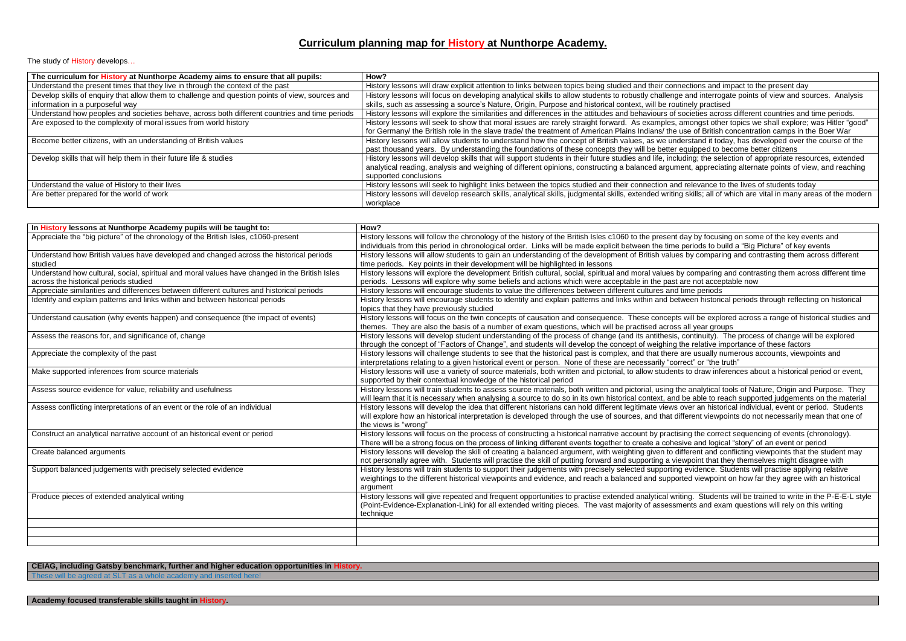## **Curriculum planning map for History at Nunthorpe Academy.**

The study of History develops...

| The curriculum for History at Nunthorpe Academy aims to ensure that all pupils:                 | How?                                                                                                    |
|-------------------------------------------------------------------------------------------------|---------------------------------------------------------------------------------------------------------|
| Understand the present times that they live in through the context of the past                  | History lessons will draw explicit attention to links between topics being studied and their conne      |
| Develop skills of enquiry that allow them to challenge and question points of view, sources and | History lessons will focus on developing analytical skills to allow students to robustly challenge      |
| information in a purposeful way                                                                 | skills, such as assessing a source's Nature, Origin, Purpose and historical context, will be routi      |
| Understand how peoples and societies behave, across both different countries and time periods   | History lessons will explore the similarities and differences in the attitudes and behaviours of so     |
| Are exposed to the complexity of moral issues from world history                                | History lessons will seek to show that moral issues are rarely straight forward. As examples, a         |
|                                                                                                 | for Germany/ the British role in the slave trade/ the treatment of American Plains Indians/ the us      |
| Become better citizens, with an understanding of British values                                 | History lessons will allow students to understand how the concept of British values, as we unde         |
|                                                                                                 | past thousand years. By understanding the foundations of these concepts they will be better e           |
| Develop skills that will help them in their future life & studies                               | History lessons will develop skills that will support students in their future studies and life, includ |
|                                                                                                 | analytical reading, analysis and weighing of different opinions, constructing a balanced argume         |
|                                                                                                 | supported conclusions                                                                                   |
| Understand the value of History to their lives                                                  | History lessons will seek to highlight links between the topics studied and their connection and        |
| Are better prepared for the world of work                                                       | History lessons will develop research skills, analytical skills, judgmental skills, extended writing    |
|                                                                                                 | workplace                                                                                               |

| In History lessons at Nunthorpe Academy pupils will be taught to:                                                                                                          | How?                                                                                                                                                                                                                                                                      |
|----------------------------------------------------------------------------------------------------------------------------------------------------------------------------|---------------------------------------------------------------------------------------------------------------------------------------------------------------------------------------------------------------------------------------------------------------------------|
| Appreciate the "big picture" of the chronology of the British Isles, c1060-present                                                                                         | History lessons will follow the chronology of the history of the British Isles c1060 to the present day by focus<br>individuals from this period in chronological order. Links will be made explicit between the time periods to b                                        |
| Understand how British values have developed and changed across the historical periods<br>studied                                                                          | History lessons will allow students to gain an understanding of the development of British values by compar<br>time periods. Key points in their development will be highlighted in lessons                                                                               |
| Understand how cultural, social, spiritual and moral values have changed in the British Isles<br>across the historical periods studied                                     | History lessons will explore the development British cultural, social, spiritual and moral values by comparing<br>periods. Lessons will explore why some beliefs and actions which were acceptable in the past are not acce                                               |
| Appreciate similarities and differences between different cultures and historical periods<br>Identify and explain patterns and links within and between historical periods | History lessons will encourage students to value the differences between different cultures and time periods<br>History lessons will encourage students to identify and explain patterns and links within and between histori<br>topics that they have previously studied |
| Understand causation (why events happen) and consequence (the impact of events)                                                                                            | History lessons will focus on the twin concepts of causation and consequence. These concepts will be expl<br>themes. They are also the basis of a number of exam questions, which will be practised across all year gro                                                   |
| Assess the reasons for, and significance of, change                                                                                                                        | History lessons will develop student understanding of the process of change (and its antithesis, continuity).<br>through the concept of "Factors of Change", and students will develop the concept of weighing the relative in                                            |
| Appreciate the complexity of the past                                                                                                                                      | History lessons will challenge students to see that the historical past is complex, and that there are usually r<br>interpretations relating to a given historical event or person. None of these are necessarily "correct" or "the                                       |
| Make supported inferences from source materials                                                                                                                            | History lessons will use a variety of source materials, both written and pictorial, to allow students to draw inf<br>supported by their contextual knowledge of the historical period                                                                                     |
| Assess source evidence for value, reliability and usefulness                                                                                                               | History lessons will train students to assess source materials, both written and pictorial, using the analytical<br>will learn that it is necessary when analysing a source to do so in its own historical context, and be able to re                                     |
| Assess conflicting interpretations of an event or the role of an individual                                                                                                | History lessons will develop the idea that different historians can hold different legitimate views over an histo<br>will explore how an historical interpretation is developed through the use of sources, and that different viewp<br>the views is "wrong"              |
| Construct an analytical narrative account of an historical event or period                                                                                                 | History lessons will focus on the process of constructing a historical narrative account by practising the corre<br>There will be a strong focus on the process of linking different events together to create a cohesive and logi                                        |
| Create balanced arguments                                                                                                                                                  | History lessons will develop the skill of creating a balanced argument, with weighting given to different and o<br>not personally agree with. Students will practise the skill of putting forward and supporting a viewpoint that                                         |
| Support balanced judgements with precisely selected evidence                                                                                                               | History lessons will train students to support their judgements with precisely selected supporting evidence. \$<br>weightings to the different historical viewpoints and evidence, and reach a balanced and supported viewpoir<br>argument                                |
| Produce pieces of extended analytical writing                                                                                                                              | History lessons will give repeated and frequent opportunities to practise extended analytical writing. Studer<br>(Point-Evidence-Explanation-Link) for all extended writing pieces. The vast majority of assessments and ex<br>technique                                  |
|                                                                                                                                                                            |                                                                                                                                                                                                                                                                           |

## **CEIAG, including Gatsby benchmark, further and higher education opportunities in History.**

These will be agreed at SLT as a whole academy and inserted here!

ections and impact to the present day

and interrogate points of view and sources. Analysis nely practised

ocieties across different countries and time periods. mongst other topics we shall explore; was Hitler "good" ise of British concentration camps in the Boer War

Become better an understanding of the students in the students of the course of the concept of the concept of the quipped to become better citizens

ding; the selection of appropriate resources, extended ent, appreciating alternate points of view, and reaching

relevance to the lives of students today skills; all of which are vital in many areas of the modern

ay by focusing on some of the key events and eriods to build a "Big Picture" of key events by comparing and contrasting them across different

comparing and contrasting them across different time re not acceptable now

reen historical periods through reflecting on historical

will be explored across a range of historical studies and all year groups

continuity). The process of change will be explored e relative importance of these factors

re usually numerous accounts, viewpoints and ect" or "the truth"

to draw inferences about a historical period or event,

analytical tools of Nature, Origin and Purpose. They industrial tools of Nature, Origin and Purpose. They e able to reach supported judgements on the material ver an historical individual, event or period. Students erent viewpoints do not necessarily mean that one of

Ing the correct sequencing of events (chronology). ve and logical "story" of an event or period erent and conflicting viewpoints that the student may vpoint that they themselves might disagree with evidence. Students will practise applying relative ed viewpoint on how far they agree with an historical

ng. Students will be trained to write in the P-E-E-L style ents and exam questions will rely on this writing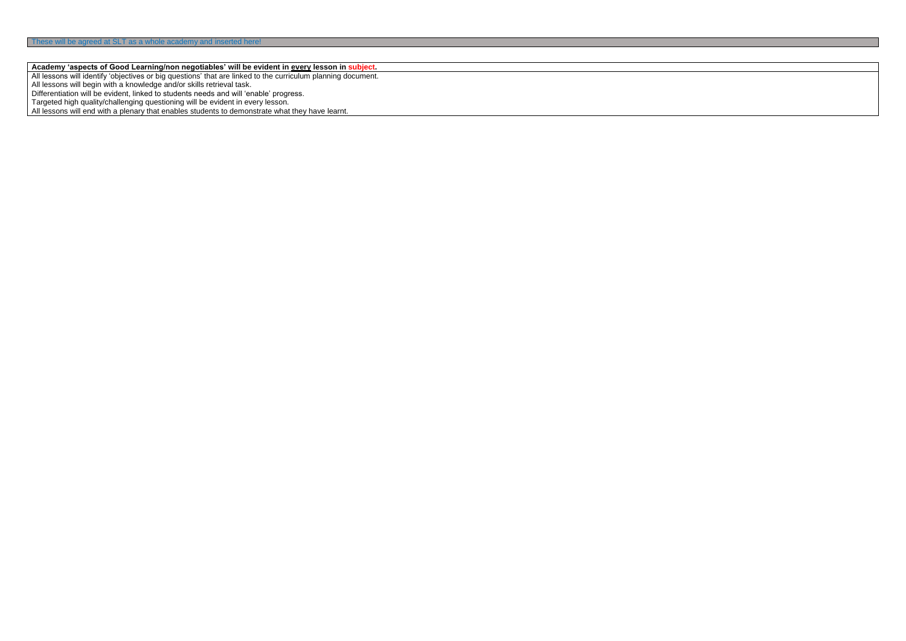## **Academy 'aspects of Good Learning/non negotiables' will be evident in every lesson in subject.**

All lessons will identify 'objectives or big questions' that are linked to the curriculum planning document.

All lessons will begin with a knowledge and/or skills retrieval task.

Differentiation will be evident, linked to students needs and will 'enable' progress.

Targeted high quality/challenging questioning will be evident in every lesson.

All lessons will end with a plenary that enables students to demonstrate what they have learnt.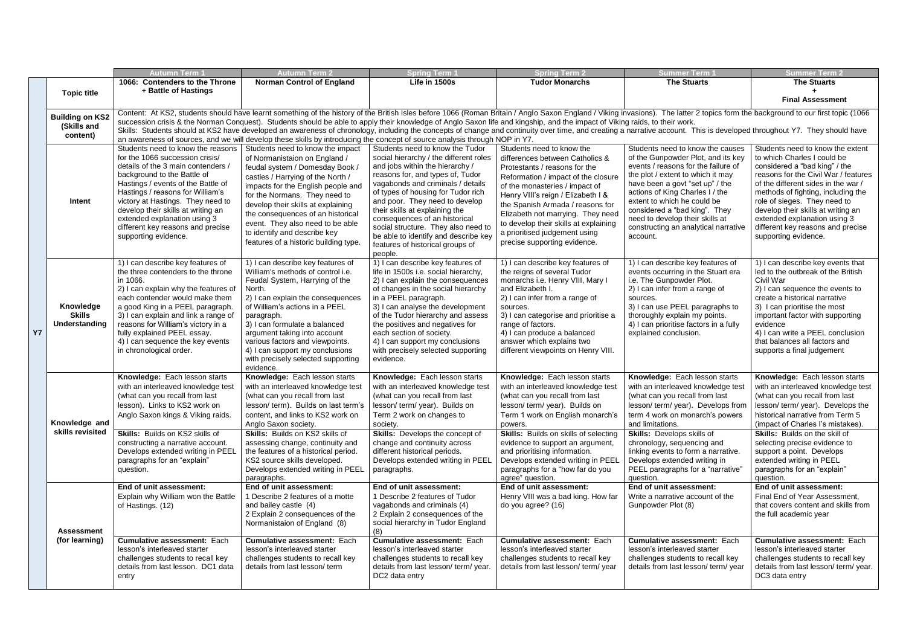|           |                                             | Autumn Term <sup>.</sup>                                                                                                                                                                                                       | <b>Autumn Term 2</b>                                                                                                                                                                                                     | <b>Spring Term 1</b>                                                        | <b>Spring Term 2</b>                                                  | <b>Summer Term</b>                                                         | <b>Summer Term 2</b>                                                  |  |  |  |
|-----------|---------------------------------------------|--------------------------------------------------------------------------------------------------------------------------------------------------------------------------------------------------------------------------------|--------------------------------------------------------------------------------------------------------------------------------------------------------------------------------------------------------------------------|-----------------------------------------------------------------------------|-----------------------------------------------------------------------|----------------------------------------------------------------------------|-----------------------------------------------------------------------|--|--|--|
|           |                                             | 1066: Contenders to the Throne                                                                                                                                                                                                 | <b>Norman Control of England</b>                                                                                                                                                                                         | Life in 1500s                                                               | <b>Tudor Monarchs</b>                                                 | <b>The Stuarts</b>                                                         | <b>The Stuarts</b>                                                    |  |  |  |
|           | <b>Topic title</b>                          | + Battle of Hastings                                                                                                                                                                                                           |                                                                                                                                                                                                                          |                                                                             |                                                                       |                                                                            |                                                                       |  |  |  |
|           |                                             |                                                                                                                                                                                                                                |                                                                                                                                                                                                                          |                                                                             |                                                                       |                                                                            | <b>Final Assessment</b>                                               |  |  |  |
|           |                                             | Content: At KS2, students should have learnt something of the history of the British Isles before 1066 (Roman Britain / Anglo Saxon England / Viking invasions). The latter 2 topics form the background to our first topic (1 |                                                                                                                                                                                                                          |                                                                             |                                                                       |                                                                            |                                                                       |  |  |  |
|           | <b>Building on KS2</b><br>(Skills and       |                                                                                                                                                                                                                                | succession crisis & the Norman Conquest). Students should be able to apply their knowledge of Anglo Saxon life and kingship, and the impact of Viking raids, to their work.                                              |                                                                             |                                                                       |                                                                            |                                                                       |  |  |  |
|           | content)                                    |                                                                                                                                                                                                                                | Skills: Students should at KS2 have developed an awareness of chronology, including the concepts of change and continuity over time, and creating a narrative account. This is developed throughout Y7. They should have |                                                                             |                                                                       |                                                                            |                                                                       |  |  |  |
|           |                                             |                                                                                                                                                                                                                                | an awareness of sources, and we will develop these skills by introducing the concept of source analysis through NOP in Y7.                                                                                               |                                                                             |                                                                       |                                                                            |                                                                       |  |  |  |
|           |                                             | Students need to know the reasons                                                                                                                                                                                              | Students need to know the impact                                                                                                                                                                                         | Students need to know the Tudor                                             | Students need to know the                                             | Students need to know the causes                                           | Students need to know the extent                                      |  |  |  |
|           |                                             | for the 1066 succession crisis/<br>details of the 3 main contenders /                                                                                                                                                          | of Normanistaion on England /                                                                                                                                                                                            | social hierarchy / the different roles                                      | differences between Catholics &                                       | of the Gunpowder Plot, and its key<br>events / reasons for the failure of  | to which Charles I could be                                           |  |  |  |
|           |                                             | background to the Battle of                                                                                                                                                                                                    | feudal system / Domesday Book /                                                                                                                                                                                          | and jobs within the hierarchy /<br>reasons for, and types of, Tudor         | Protestants / reasons for the                                         | the plot / extent to which it may                                          | considered a "bad king" / the<br>reasons for the Civil War / features |  |  |  |
|           |                                             | Hastings / events of the Battle of                                                                                                                                                                                             | castles / Harrying of the North /                                                                                                                                                                                        | vagabonds and criminals / details                                           | Reformation / impact of the closure<br>of the monasteries / impact of | have been a govt "set up" / the                                            | of the different sides in the war /                                   |  |  |  |
|           |                                             | Hastings / reasons for William's                                                                                                                                                                                               | impacts for the English people and<br>for the Normans. They need to                                                                                                                                                      | of types of housing for Tudor rich                                          | Henry VIII's reign / Elizabeth I &                                    | actions of King Charles I / the                                            | methods of fighting, including the                                    |  |  |  |
|           | Intent                                      | victory at Hastings. They need to                                                                                                                                                                                              | develop their skills at explaining                                                                                                                                                                                       | and poor. They need to develop                                              | the Spanish Armada / reasons for                                      | extent to which he could be                                                | role of sieges. They need to                                          |  |  |  |
|           |                                             | develop their skills at writing an                                                                                                                                                                                             | the consequences of an historical                                                                                                                                                                                        | their skills at explaining the                                              | Elizabeth not marrying. They need                                     | considered a "bad king". They                                              | develop their skills at writing an                                    |  |  |  |
|           |                                             | extended explanation using 3                                                                                                                                                                                                   | event. They also need to be able                                                                                                                                                                                         | consequences of an historical                                               | to develop their skills at explaining                                 | need to develop their skills at                                            | extended explanation using 3                                          |  |  |  |
|           |                                             | different key reasons and precise<br>supporting evidence.                                                                                                                                                                      | to identify and describe key                                                                                                                                                                                             | social structure. They also need to<br>be able to identify and describe key | a prioritised judgement using                                         | constructing an analytical narrative<br>account.                           | different key reasons and precise<br>supporting evidence.             |  |  |  |
|           |                                             |                                                                                                                                                                                                                                | features of a historic building type.                                                                                                                                                                                    | features of historical groups of                                            | precise supporting evidence.                                          |                                                                            |                                                                       |  |  |  |
|           |                                             |                                                                                                                                                                                                                                |                                                                                                                                                                                                                          | people.                                                                     |                                                                       |                                                                            |                                                                       |  |  |  |
|           |                                             | 1) I can describe key features of                                                                                                                                                                                              | 1) I can describe key features of                                                                                                                                                                                        | 1) I can describe key features of                                           | 1) I can describe key features of                                     | 1) I can describe key features of                                          | 1) I can describe key events that                                     |  |  |  |
|           |                                             | the three contenders to the throne                                                                                                                                                                                             | William's methods of control i.e.                                                                                                                                                                                        | life in 1500s i.e. social hierarchy,                                        | the reigns of several Tudor                                           | events occurring in the Stuart era                                         | led to the outbreak of the British                                    |  |  |  |
|           | Knowledge<br><b>Skills</b><br>Understanding | in 1066.<br>2) I can explain why the features of                                                                                                                                                                               | Feudal System, Harrying of the<br>North.                                                                                                                                                                                 | 2) I can explain the consequences<br>of changes in the social hierarchy     | monarchs i.e. Henry VIII, Mary I<br>and Elizabeth I.                  | i.e. The Gunpowder Plot.<br>2) I can infer from a range of                 | Civil War<br>2) I can sequence the events to                          |  |  |  |
|           |                                             | each contender would make them                                                                                                                                                                                                 | 2) I can explain the consequences                                                                                                                                                                                        | in a PEEL paragraph.                                                        | 2) I can infer from a range of                                        | sources.                                                                   | create a historical narrative                                         |  |  |  |
|           |                                             | a good King in a PEEL paragraph.                                                                                                                                                                                               | of William's actions in a PEEL                                                                                                                                                                                           | 3) I can analyse the development                                            | sources.                                                              | 3) I can use PEEL paragraphs to                                            | 3) I can prioritise the most                                          |  |  |  |
|           |                                             | 3) I can explain and link a range of                                                                                                                                                                                           | paragraph.                                                                                                                                                                                                               | of the Tudor hierarchy and assess                                           | 3) I can categorise and prioritise a                                  | thoroughly explain my points.                                              | important factor with supporting                                      |  |  |  |
|           |                                             | reasons for William's victory in a                                                                                                                                                                                             | 3) I can formulate a balanced                                                                                                                                                                                            | the positives and negatives for                                             | range of factors.                                                     | 4) I can prioritise factors in a fully                                     | evidence                                                              |  |  |  |
| <b>Y7</b> |                                             | fully explained PEEL essay.                                                                                                                                                                                                    | argument taking into account                                                                                                                                                                                             | each section of society.                                                    | 4) I can produce a balanced                                           | explained conclusion.                                                      | 4) I can write a PEEL conclusion                                      |  |  |  |
|           |                                             | 4) I can sequence the key events<br>in chronological order.                                                                                                                                                                    | various factors and viewpoints.<br>4) I can support my conclusions                                                                                                                                                       | 4) I can support my conclusions<br>with precisely selected supporting       | answer which explains two<br>different viewpoints on Henry VIII.      |                                                                            | that balances all factors and<br>supports a final judgement           |  |  |  |
|           |                                             |                                                                                                                                                                                                                                | with precisely selected supporting                                                                                                                                                                                       | evidence.                                                                   |                                                                       |                                                                            |                                                                       |  |  |  |
|           |                                             |                                                                                                                                                                                                                                | evidence.                                                                                                                                                                                                                |                                                                             |                                                                       |                                                                            |                                                                       |  |  |  |
|           |                                             | Knowledge: Each lesson starts                                                                                                                                                                                                  | Knowledge: Each lesson starts                                                                                                                                                                                            | Knowledge: Each lesson starts                                               | Knowledge: Each lesson starts                                         | Knowledge: Each lesson starts                                              | Knowledge: Each lesson starts                                         |  |  |  |
|           |                                             | with an interleaved knowledge test                                                                                                                                                                                             | with an interleaved knowledge test                                                                                                                                                                                       | with an interleaved knowledge test                                          | with an interleaved knowledge test                                    | with an interleaved knowledge test                                         | with an interleaved knowledge test                                    |  |  |  |
|           |                                             | (what can you recall from last                                                                                                                                                                                                 | (what can you recall from last                                                                                                                                                                                           | (what can you recall from last                                              | (what can you recall from last                                        | (what can you recall from last                                             | (what can you recall from last                                        |  |  |  |
|           |                                             | lesson). Links to KS2 work on                                                                                                                                                                                                  | lesson/ term). Builds on last term's   lesson/ term/ year). Builds on                                                                                                                                                    |                                                                             | lesson/term/year). Builds on                                          | $lesson/$ term/ year). Develops from $ $ lesson/ term/ year). Develops the |                                                                       |  |  |  |
|           | Knowledge and                               | Anglo Saxon kings & Viking raids.                                                                                                                                                                                              | content, and links to KS2 work on                                                                                                                                                                                        | Term 2 work on changes to                                                   | Term 1 work on English monarch's                                      | term 4 work on monarch's powers                                            | historical narrative from Term 5<br>(impact of Charles I's mistakes). |  |  |  |
|           | skills revisited                            | Skills: Builds on KS2 skills of                                                                                                                                                                                                | Anglo Saxon society.<br>Skills: Builds on KS2 skills of                                                                                                                                                                  | society.<br><b>Skills:</b> Develops the concept of                          | powers.<br><b>Skills:</b> Builds on skills of selecting               | and limitations.<br><b>Skills:</b> Develops skills of                      | <b>Skills:</b> Builds on the skill of                                 |  |  |  |
|           |                                             | constructing a narrative account.                                                                                                                                                                                              | assessing change, continuity and                                                                                                                                                                                         | change and continuity across                                                | evidence to support an argument,                                      | chronology, sequencing and                                                 | selecting precise evidence to                                         |  |  |  |
|           |                                             | Develops extended writing in PEEL                                                                                                                                                                                              | the features of a historical period.                                                                                                                                                                                     | different historical periods.                                               | and prioritising information.                                         | linking events to form a narrative.                                        | support a point. Develops                                             |  |  |  |
|           |                                             | paragraphs for an "explain"                                                                                                                                                                                                    | KS2 source skills developed.                                                                                                                                                                                             | Develops extended writing in PEEL                                           | Develops extended writing in PEEL                                     | Develops extended writing in                                               | extended writing in PEEL                                              |  |  |  |
|           |                                             | question.                                                                                                                                                                                                                      | Develops extended writing in PEEL                                                                                                                                                                                        | paragraphs.                                                                 | paragraphs for a "how far do you                                      | PEEL paragraphs for a "narrative"                                          | paragraphs for an "explain"                                           |  |  |  |
|           |                                             | End of unit assessment:                                                                                                                                                                                                        | paragraphs.<br>End of unit assessment:                                                                                                                                                                                   | End of unit assessment:                                                     | agree" question.<br>End of unit assessment:                           | question.<br>End of unit assessment:                                       | question.<br>End of unit assessment:                                  |  |  |  |
|           |                                             | Explain why William won the Battle                                                                                                                                                                                             | 1 Describe 2 features of a motte                                                                                                                                                                                         | 1 Describe 2 features of Tudor                                              | Henry VIII was a bad king. How far                                    | Write a narrative account of the                                           | Final End of Year Assessment,                                         |  |  |  |
|           |                                             | of Hastings. (12)                                                                                                                                                                                                              | and bailey castle (4)                                                                                                                                                                                                    | vagabonds and criminals (4)                                                 | do you agree? (16)                                                    | Gunpowder Plot (8)                                                         | that covers content and skills from                                   |  |  |  |
|           |                                             |                                                                                                                                                                                                                                | 2 Explain 2 consequences of the                                                                                                                                                                                          | 2 Explain 2 consequences of the                                             |                                                                       |                                                                            | the full academic year                                                |  |  |  |
|           |                                             |                                                                                                                                                                                                                                | Normanistaion of England (8)                                                                                                                                                                                             | social hierarchy in Tudor England                                           |                                                                       |                                                                            |                                                                       |  |  |  |
|           | <b>Assessment</b><br>(for learning)         |                                                                                                                                                                                                                                | <b>Cumulative assessment: Each</b>                                                                                                                                                                                       | (8)<br><b>Cumulative assessment: Each</b>                                   |                                                                       |                                                                            |                                                                       |  |  |  |
|           |                                             | <b>Cumulative assessment: Each</b><br>lesson's interleaved starter                                                                                                                                                             | lesson's interleaved starter                                                                                                                                                                                             | lesson's interleaved starter                                                | <b>Cumulative assessment: Each</b><br>lesson's interleaved starter    | <b>Cumulative assessment: Each</b><br>lesson's interleaved starter         | <b>Cumulative assessment: Each</b><br>lesson's interleaved starter    |  |  |  |
|           |                                             | challenges students to recall key                                                                                                                                                                                              | challenges students to recall key                                                                                                                                                                                        | challenges students to recall key                                           | challenges students to recall key                                     | challenges students to recall key                                          | challenges students to recall key                                     |  |  |  |
|           |                                             | details from last lesson. DC1 data                                                                                                                                                                                             | details from last lesson/term                                                                                                                                                                                            | details from last lesson/ term/ year.                                       | details from last lesson/ term/ year                                  | details from last lesson/term/year                                         | details from last lesson/ term/ year.                                 |  |  |  |
|           |                                             | entry                                                                                                                                                                                                                          |                                                                                                                                                                                                                          | DC2 data entry                                                              |                                                                       |                                                                            | DC3 data entry                                                        |  |  |  |
|           |                                             |                                                                                                                                                                                                                                |                                                                                                                                                                                                                          |                                                                             |                                                                       |                                                                            |                                                                       |  |  |  |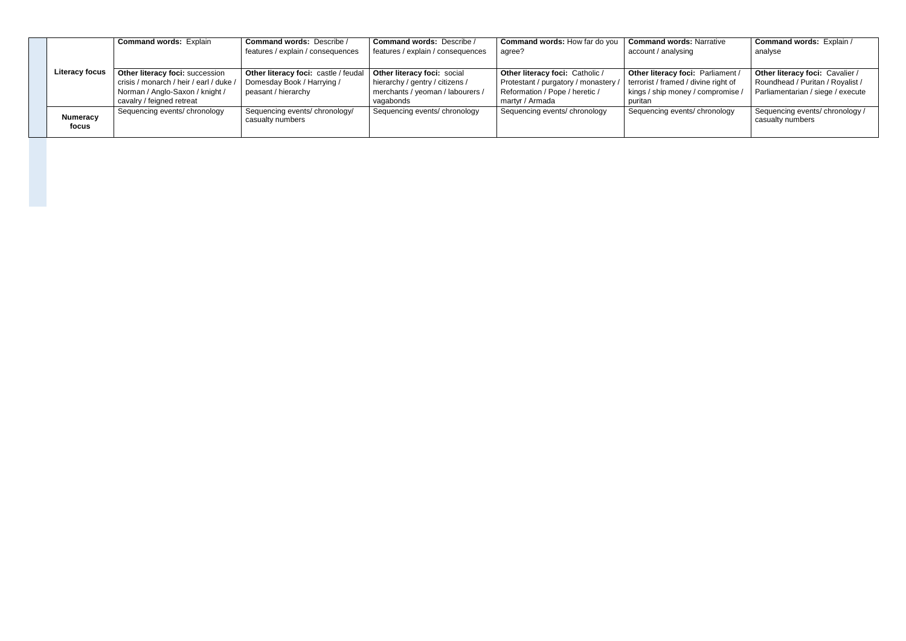|                          | <b>Command words: Explain</b>                                                                                                              | <b>Command words: Describe /</b><br>features / explain / consequences                       | <b>Command words: Describe /</b><br>features / explain / consequences                                           | <b>Command words: How far do you</b><br>agree?                                                                               | <b>Command words: Narrative</b><br>account / analysing                                                                    | <b>Command words: Explain /</b><br>analyse                                                               |
|--------------------------|--------------------------------------------------------------------------------------------------------------------------------------------|---------------------------------------------------------------------------------------------|-----------------------------------------------------------------------------------------------------------------|------------------------------------------------------------------------------------------------------------------------------|---------------------------------------------------------------------------------------------------------------------------|----------------------------------------------------------------------------------------------------------|
| <b>Literacy focus</b>    | Other literacy foci: succession<br>crisis / monarch / heir / earl / duke /<br>Norman / Anglo-Saxon / knight /<br>cavalry / feigned retreat | Other literacy foci: castle / feudal  <br>Domesday Book / Harrying /<br>peasant / hierarchy | Other literacy foci: social<br>hierarchy / gentry / citizens /<br>merchants / yeoman / labourers /<br>vagabonds | Other literacy foci: Catholic /<br>Protestant / purgatory / monastery /<br>Reformation / Pope / heretic /<br>martyr / Armada | Other literacy foci: Parliament /<br>terrorist / framed / divine right of<br>kings / ship money / compromise /<br>puritan | Other literacy foci: Cavalier /<br>Roundhead / Puritan / Royalist /<br>Parliamentarian / siege / execute |
| <b>Numeracy</b><br>focus | Sequencing events/ chronology                                                                                                              | Sequencing events/ chronology/<br>casualty numbers                                          | Sequencing events/ chronology                                                                                   | Sequencing events/ chronology                                                                                                | Sequencing events/ chronology                                                                                             | Sequencing events/ chronology /<br>casualty numbers                                                      |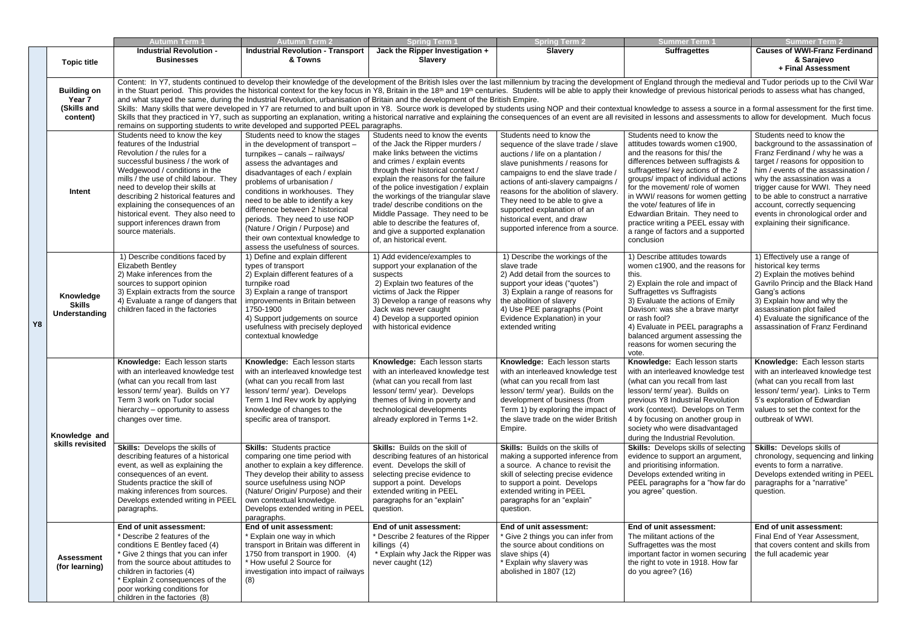|    |                                             | Autumn Term <sup>.</sup>                                                                                                                                                                                                                                                                                                                                                                                                                                                                                                                                                                           | <b>Autumn Term 2</b>                                                             | <b>Spring Term 1</b>                  | <b>Spring Term 2</b>                   | <b>Summer Term '</b>                        | <b>Summer Term 2</b>                 |  |  |
|----|---------------------------------------------|----------------------------------------------------------------------------------------------------------------------------------------------------------------------------------------------------------------------------------------------------------------------------------------------------------------------------------------------------------------------------------------------------------------------------------------------------------------------------------------------------------------------------------------------------------------------------------------------------|----------------------------------------------------------------------------------|---------------------------------------|----------------------------------------|---------------------------------------------|--------------------------------------|--|--|
|    |                                             | <b>Industrial Revolution -</b>                                                                                                                                                                                                                                                                                                                                                                                                                                                                                                                                                                     | <b>Industrial Revolution - Transport</b>                                         | Jack the Ripper Investigation +       | <b>Slavery</b>                         | <b>Suffragettes</b>                         | <b>Causes of WWI-Franz Ferdinand</b> |  |  |
|    | <b>Topic title</b>                          | <b>Businesses</b>                                                                                                                                                                                                                                                                                                                                                                                                                                                                                                                                                                                  | & Towns                                                                          | <b>Slavery</b>                        |                                        |                                             | & Sarajevo                           |  |  |
|    |                                             |                                                                                                                                                                                                                                                                                                                                                                                                                                                                                                                                                                                                    |                                                                                  |                                       |                                        |                                             | + Final Assessment                   |  |  |
|    |                                             |                                                                                                                                                                                                                                                                                                                                                                                                                                                                                                                                                                                                    |                                                                                  |                                       |                                        |                                             |                                      |  |  |
|    |                                             | Content: In Y7, students continued to develop their knowledge of the development of the British Isles over the last millennium by tracing the development of England through the medieval and Tudor periods up to the Civil Wa                                                                                                                                                                                                                                                                                                                                                                     |                                                                                  |                                       |                                        |                                             |                                      |  |  |
|    | <b>Building on</b>                          | in the Stuart period. This provides the historical context for the key focus in Y8, Britain in the 18 <sup>th</sup> and 19 <sup>th</sup> centuries. Students will be able to apply their knowledge of previous historical periods to assess what h                                                                                                                                                                                                                                                                                                                                                 |                                                                                  |                                       |                                        |                                             |                                      |  |  |
|    | Year 7                                      | and what stayed the same, during the Industrial Revolution, urbanisation of Britain and the development of the British Empire.<br>Skills: Many skills that were developed in Y7 are returned to and built upon in Y8. Source work is developed by students using NOP and their contextual knowledge to assess a source in a formal assessment for the first time<br>Skills that they practiced in Y7, such as supporting an explanation, writing a historical narrative and explaining the consequences of an event are all revisited in lessons and assessments to allow for development. Much fo |                                                                                  |                                       |                                        |                                             |                                      |  |  |
|    | (Skills and                                 |                                                                                                                                                                                                                                                                                                                                                                                                                                                                                                                                                                                                    |                                                                                  |                                       |                                        |                                             |                                      |  |  |
|    | content)                                    |                                                                                                                                                                                                                                                                                                                                                                                                                                                                                                                                                                                                    |                                                                                  |                                       |                                        |                                             |                                      |  |  |
|    |                                             |                                                                                                                                                                                                                                                                                                                                                                                                                                                                                                                                                                                                    | remains on supporting students to write developed and supported PEEL paragraphs. |                                       |                                        |                                             |                                      |  |  |
|    |                                             | Students need to know the key                                                                                                                                                                                                                                                                                                                                                                                                                                                                                                                                                                      | Students need to know the stages                                                 | Students need to know the events      | Students need to know the              | Students need to know the                   | Students need to know the            |  |  |
|    |                                             | features of the Industrial                                                                                                                                                                                                                                                                                                                                                                                                                                                                                                                                                                         | in the development of transport -                                                | of the Jack the Ripper murders /      | sequence of the slave trade / slave    | attitudes towards women c1900,              | background to the assassination of   |  |  |
|    |                                             | Revolution / the rules for a                                                                                                                                                                                                                                                                                                                                                                                                                                                                                                                                                                       | turnpikes - canals - railways/                                                   | make links between the victims        | auctions / life on a plantation /      | and the reasons for this/ the               | Franz Ferdinand / why he was a       |  |  |
|    |                                             | successful business / the work of                                                                                                                                                                                                                                                                                                                                                                                                                                                                                                                                                                  | assess the advantages and                                                        | and crimes / explain events           | slave punishments / reasons for        | differences between suffragists &           | target / reasons for opposition to   |  |  |
|    |                                             | Wedgewood / conditions in the                                                                                                                                                                                                                                                                                                                                                                                                                                                                                                                                                                      | disadvantages of each / explain                                                  | through their historical context /    | campaigns to end the slave trade       | suffragettes/ key actions of the 2          | him / events of the assassination /  |  |  |
|    |                                             | mills / the use of child labour. They                                                                                                                                                                                                                                                                                                                                                                                                                                                                                                                                                              | problems of urbanisation /                                                       | explain the reasons for the failure   | actions of anti-slavery campaigns      | groups/ impact of individual actions        | why the assassination was a          |  |  |
|    |                                             | need to develop their skills at                                                                                                                                                                                                                                                                                                                                                                                                                                                                                                                                                                    |                                                                                  | of the police investigation / explain |                                        | for the movement/ role of women             | trigger cause for WWI. They need     |  |  |
|    | Intent                                      | describing 2 historical features and                                                                                                                                                                                                                                                                                                                                                                                                                                                                                                                                                               | conditions in workhouses. They                                                   | the workings of the triangular slave  | reasons for the abolition of slavery   | in WWI/ reasons for women getting           | to be able to construct a narrative  |  |  |
|    |                                             | explaining the consequences of an                                                                                                                                                                                                                                                                                                                                                                                                                                                                                                                                                                  | need to be able to identify a key                                                | trade/ describe conditions on the     | They need to be able to give a         | the vote/ features of life in               | account, correctly sequencing        |  |  |
|    |                                             | historical event. They also need to                                                                                                                                                                                                                                                                                                                                                                                                                                                                                                                                                                | difference between 2 historical                                                  | Middle Passage. They need to be       | supported explanation of an            | Edwardian Britain. They need to             | events in chronological order and    |  |  |
|    |                                             | support inferences drawn from                                                                                                                                                                                                                                                                                                                                                                                                                                                                                                                                                                      | periods. They need to use NOP                                                    | able to describe the features of,     | historical event, and draw             | practice writing a PEEL essay with          | explaining their significance.       |  |  |
|    |                                             | source materials.                                                                                                                                                                                                                                                                                                                                                                                                                                                                                                                                                                                  | (Nature / Origin / Purpose) and                                                  | and give a supported explanation      | supported inference from a source      | a range of factors and a supported          |                                      |  |  |
|    |                                             |                                                                                                                                                                                                                                                                                                                                                                                                                                                                                                                                                                                                    | their own contextual knowledge to                                                | of, an historical event.              |                                        | conclusion                                  |                                      |  |  |
|    |                                             |                                                                                                                                                                                                                                                                                                                                                                                                                                                                                                                                                                                                    | assess the usefulness of sources.                                                |                                       |                                        |                                             |                                      |  |  |
|    |                                             | 1) Describe conditions faced by                                                                                                                                                                                                                                                                                                                                                                                                                                                                                                                                                                    | 1) Define and explain different                                                  | 1) Add evidence/examples to           | 1) Describe the workings of the        | 1) Describe attitudes towards               | 1) Effectively use a range of        |  |  |
|    |                                             | <b>Elizabeth Bentley</b>                                                                                                                                                                                                                                                                                                                                                                                                                                                                                                                                                                           | types of transport                                                               | support your explanation of the       | slave trade                            | women c1900, and the reasons for            | historical key terms                 |  |  |
|    |                                             | 2) Make inferences from the                                                                                                                                                                                                                                                                                                                                                                                                                                                                                                                                                                        | 2) Explain different features of a                                               | suspects                              | 2) Add detail from the sources to      | this.                                       | 2) Explain the motives behind        |  |  |
|    |                                             | sources to support opinion                                                                                                                                                                                                                                                                                                                                                                                                                                                                                                                                                                         | turnpike road                                                                    | 2) Explain two features of the        | support your ideas ("quotes")          | 2) Explain the role and impact of           | Gavrilo Princip and the Black Hand   |  |  |
|    | Knowledge<br><b>Skills</b><br>Understanding | 3) Explain extracts from the source                                                                                                                                                                                                                                                                                                                                                                                                                                                                                                                                                                | 3) Explain a range of transport                                                  | victims of Jack the Ripper            | 3) Explain a range of reasons for      | Suffragettes vs Suffragists                 | Gang's actions                       |  |  |
|    |                                             | 4) Evaluate a range of dangers that                                                                                                                                                                                                                                                                                                                                                                                                                                                                                                                                                                | improvements in Britain between                                                  | 3) Develop a range of reasons why     | the abolition of slavery               | 3) Evaluate the actions of Emily            | 3) Explain how and why the           |  |  |
|    |                                             | children faced in the factories                                                                                                                                                                                                                                                                                                                                                                                                                                                                                                                                                                    | 1750-1900                                                                        | Jack was never caught                 | 4) Use PEE paragraphs (Point           | Davison: was she a brave martyr             | assassination plot failed            |  |  |
|    |                                             |                                                                                                                                                                                                                                                                                                                                                                                                                                                                                                                                                                                                    | 4) Support judgements on source                                                  | 4) Develop a supported opinion        | Evidence Explanation) in your          | or rash fool?                               | 4) Evaluate the significance of the  |  |  |
| Y8 |                                             |                                                                                                                                                                                                                                                                                                                                                                                                                                                                                                                                                                                                    | usefulness with precisely deployed                                               | with historical evidence              | extended writing                       | 4) Evaluate in PEEL paragraphs a            | assassination of Franz Ferdinand     |  |  |
|    |                                             |                                                                                                                                                                                                                                                                                                                                                                                                                                                                                                                                                                                                    | contextual knowledge                                                             |                                       |                                        | balanced argument assessing the             |                                      |  |  |
|    |                                             |                                                                                                                                                                                                                                                                                                                                                                                                                                                                                                                                                                                                    |                                                                                  |                                       |                                        | reasons for women securing the              |                                      |  |  |
|    |                                             |                                                                                                                                                                                                                                                                                                                                                                                                                                                                                                                                                                                                    |                                                                                  |                                       |                                        | vote.                                       |                                      |  |  |
|    |                                             | Knowledge: Each lesson starts                                                                                                                                                                                                                                                                                                                                                                                                                                                                                                                                                                      | Knowledge: Each lesson starts                                                    | Knowledge: Each lesson starts         | Knowledge: Each lesson starts          | Knowledge: Each lesson starts               | Knowledge: Each lesson starts        |  |  |
|    |                                             | with an interleaved knowledge test                                                                                                                                                                                                                                                                                                                                                                                                                                                                                                                                                                 | with an interleaved knowledge test                                               | with an interleaved knowledge test    | with an interleaved knowledge test     | with an interleaved knowledge test          | with an interleaved knowledge test   |  |  |
|    |                                             | (what can you recall from last                                                                                                                                                                                                                                                                                                                                                                                                                                                                                                                                                                     | (what can you recall from last                                                   | (what can you recall from last        | (what can you recall from last         | (what can you recall from last              | (what can you recall from last       |  |  |
|    |                                             | lesson/ term/ year). Builds on Y7                                                                                                                                                                                                                                                                                                                                                                                                                                                                                                                                                                  | lesson/term/year). Develops                                                      | lesson/term/year). Develops           | lesson/term/year). Builds on the       | lesson/term/year). Builds on                | lesson/term/year). Links to Term     |  |  |
|    |                                             | Term 3 work on Tudor social                                                                                                                                                                                                                                                                                                                                                                                                                                                                                                                                                                        |                                                                                  |                                       | development of business (from          | previous Y8 Industrial Revolution           | 5's exploration of Edwardian         |  |  |
|    |                                             |                                                                                                                                                                                                                                                                                                                                                                                                                                                                                                                                                                                                    | Term 1 Ind Rev work by applying                                                  | themes of living in poverty and       |                                        |                                             |                                      |  |  |
|    |                                             | hierarchy - opportunity to assess                                                                                                                                                                                                                                                                                                                                                                                                                                                                                                                                                                  | knowledge of changes to the                                                      | technological developments            | Term 1) by exploring the impact of     | work (context). Develops on Term            | values to set the context for the    |  |  |
|    |                                             | changes over time.                                                                                                                                                                                                                                                                                                                                                                                                                                                                                                                                                                                 | specific area of transport.                                                      | already explored in Terms 1+2.        | the slave trade on the wider British   | 4 by focusing on another group in           | outbreak of WWI.                     |  |  |
|    |                                             |                                                                                                                                                                                                                                                                                                                                                                                                                                                                                                                                                                                                    |                                                                                  |                                       | Empire.                                | society who were disadvantaged              |                                      |  |  |
|    | Knowledge and                               |                                                                                                                                                                                                                                                                                                                                                                                                                                                                                                                                                                                                    |                                                                                  |                                       |                                        | during the Industrial Revolution.           |                                      |  |  |
|    | skills revisited                            | <b>Skills:</b> Develops the skills of                                                                                                                                                                                                                                                                                                                                                                                                                                                                                                                                                              | <b>Skills: Students practice</b>                                                 | <b>Skills:</b> Builds on the skill of | <b>Skills:</b> Builds on the skills of | <b>Skills:</b> Develops skills of selecting | <b>Skills: Develops skills of</b>    |  |  |
|    |                                             | describing features of a historical                                                                                                                                                                                                                                                                                                                                                                                                                                                                                                                                                                | comparing one time period with                                                   | describing features of an historical  | making a supported inference from      | evidence to support an argument,            | chronology, sequencing and linking   |  |  |
|    |                                             | event, as well as explaining the                                                                                                                                                                                                                                                                                                                                                                                                                                                                                                                                                                   | another to explain a key difference.                                             | event. Develops the skill of          | a source. A chance to revisit the      | and prioritising information.               | events to form a narrative.          |  |  |
|    |                                             | consequences of an event.                                                                                                                                                                                                                                                                                                                                                                                                                                                                                                                                                                          | They develop their ability to assess                                             | selecting precise evidence to         | skill of selecting precise evidence    | Develops extended writing in                | Develops extended writing in PEEL    |  |  |
|    |                                             | Students practice the skill of                                                                                                                                                                                                                                                                                                                                                                                                                                                                                                                                                                     | source usefulness using NOP                                                      | support a point. Develops             | to support a point. Develops           | PEEL paragraphs for a "how far do           | paragraphs for a "narrative"         |  |  |
|    |                                             | making inferences from sources.                                                                                                                                                                                                                                                                                                                                                                                                                                                                                                                                                                    | (Nature/ Origin/ Purpose) and their                                              | extended writing in PEEL              | extended writing in PEEL               | you agree" question.                        | question.                            |  |  |
|    |                                             | Develops extended writing in PEEL                                                                                                                                                                                                                                                                                                                                                                                                                                                                                                                                                                  | own contextual knowledge.                                                        | paragraphs for an "explain"           | paragraphs for an "explain"            |                                             |                                      |  |  |
|    |                                             | paragraphs.                                                                                                                                                                                                                                                                                                                                                                                                                                                                                                                                                                                        | Develops extended writing in PEEL                                                | question.                             | question.                              |                                             |                                      |  |  |
|    |                                             |                                                                                                                                                                                                                                                                                                                                                                                                                                                                                                                                                                                                    | paragraphs.                                                                      |                                       |                                        |                                             |                                      |  |  |
|    |                                             | End of unit assessment:                                                                                                                                                                                                                                                                                                                                                                                                                                                                                                                                                                            | End of unit assessment:                                                          | End of unit assessment:               | End of unit assessment:                | End of unit assessment:                     | End of unit assessment:              |  |  |
|    |                                             | * Describe 2 features of the                                                                                                                                                                                                                                                                                                                                                                                                                                                                                                                                                                       | Explain one way in which                                                         | * Describe 2 features of the Ripper   | * Give 2 things you can infer from     | The militant actions of the                 | Final End of Year Assessment,        |  |  |
|    |                                             | conditions E Bentley faced (4)                                                                                                                                                                                                                                                                                                                                                                                                                                                                                                                                                                     | transport in Britain was different in                                            | killings (4)                          | the source about conditions on         | Suffragettes was the most                   | that covers content and skills from  |  |  |
|    |                                             | * Give 2 things that you can infer                                                                                                                                                                                                                                                                                                                                                                                                                                                                                                                                                                 | 1750 from transport in 1900. (4)                                                 | * Explain why Jack the Ripper was     | slave ships (4)                        | important factor in women securing          | the full academic year               |  |  |
|    | <b>Assessment</b>                           | from the source about attitudes to                                                                                                                                                                                                                                                                                                                                                                                                                                                                                                                                                                 | * How useful 2 Source for                                                        | never caught (12)                     | Explain why slavery was                | the right to vote in 1918. How far          |                                      |  |  |
|    | (for learning)                              | children in factories (4)                                                                                                                                                                                                                                                                                                                                                                                                                                                                                                                                                                          | investigation into impact of railways                                            |                                       | abolished in 1807 (12)                 | do you agree? (16)                          |                                      |  |  |
|    |                                             | Explain 2 consequences of the                                                                                                                                                                                                                                                                                                                                                                                                                                                                                                                                                                      | (8)                                                                              |                                       |                                        |                                             |                                      |  |  |
|    |                                             | poor working conditions for                                                                                                                                                                                                                                                                                                                                                                                                                                                                                                                                                                        |                                                                                  |                                       |                                        |                                             |                                      |  |  |
|    |                                             | children in the factories (8)                                                                                                                                                                                                                                                                                                                                                                                                                                                                                                                                                                      |                                                                                  |                                       |                                        |                                             |                                      |  |  |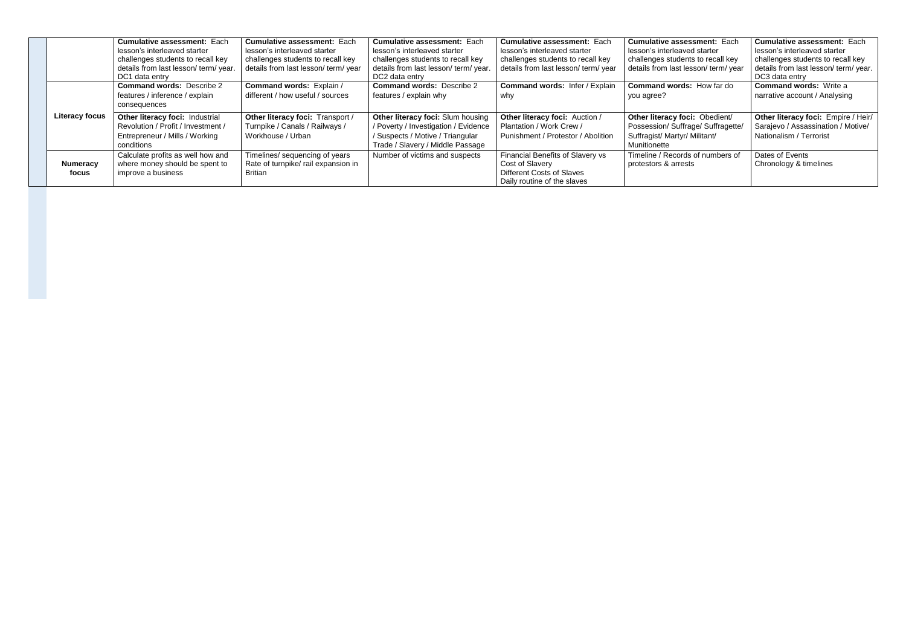|                          | <b>Cumulative assessment: Each</b><br>lesson's interleaved starter<br>challenges students to recall key<br>details from last lesson/ term/ year.<br>DC1 data entry | <b>Cumulative assessment: Each</b><br>lesson's interleaved starter<br>challenges students to recall key<br>details from last lesson/ term/ year | <b>Cumulative assessment: Each</b><br>lesson's interleaved starter<br>challenges students to recall key<br>details from last lesson/term/year.<br>DC2 data entry | <b>Cumulative assessment: Each</b><br>lesson's interleaved starter<br>challenges students to recall key<br>details from last lesson/ term/ year | <b>Cumulative assessment: Each</b><br>lesson's interleaved starter<br>challenges students to recall key<br>details from last lesson/ term/ year | <b>Cumulative assessment: Each</b><br>lesson's interleaved starter<br>challenges students to recall key<br>details from last lesson/term/year.<br>DC3 data entry |
|--------------------------|--------------------------------------------------------------------------------------------------------------------------------------------------------------------|-------------------------------------------------------------------------------------------------------------------------------------------------|------------------------------------------------------------------------------------------------------------------------------------------------------------------|-------------------------------------------------------------------------------------------------------------------------------------------------|-------------------------------------------------------------------------------------------------------------------------------------------------|------------------------------------------------------------------------------------------------------------------------------------------------------------------|
|                          | <b>Command words: Describe 2</b><br>features / inference / explain<br>consequences                                                                                 | <b>Command words: Explain /</b><br>different / how useful / sources                                                                             | <b>Command words: Describe 2</b><br>features / explain why                                                                                                       | <b>Command words: Infer / Explain</b><br>why                                                                                                    | <b>Command words: How far do</b><br>you agree?                                                                                                  | <b>Command words: Write a</b><br>narrative account / Analysing                                                                                                   |
| <b>Literacy focus</b>    | Other literacy foci: Industrial<br>Revolution / Profit / Investment /<br>Entrepreneur / Mills / Working<br>conditions                                              | Other literacy foci: Transport /<br>Turnpike / Canals / Railways /<br>Workhouse / Urban                                                         | Other literacy foci: Slum housing<br>/ Poverty / Investigation / Evidence<br>/ Suspects / Motive / Triangular<br>Trade / Slavery / Middle Passage                | Other literacy foci: Auction /<br>Plantation / Work Crew /<br>Punishment / Protestor / Abolition                                                | Other literacy foci: Obedient/<br>Possession/ Suffrage/ Suffragette/<br>Suffragist/ Martyr/ Militant/<br>Munitionette                           | Other literacy foci: Empire / Heir/<br>Sarajevo / Assassination / Motive/<br>Nationalism / Terrorist                                                             |
| <b>Numeracy</b><br>focus | Calculate profits as well how and<br>where money should be spent to<br>improve a business                                                                          | Timelines/ sequencing of years<br>Rate of turnpike/ rail expansion in<br>Britian                                                                | Number of victims and suspects                                                                                                                                   | Financial Benefits of Slavery vs<br>Cost of Slavery<br><b>Different Costs of Slaves</b><br>Daily routine of the slaves                          | Timeline / Records of numbers of<br>protestors & arrests                                                                                        | Dates of Events<br>Chronology & timelines                                                                                                                        |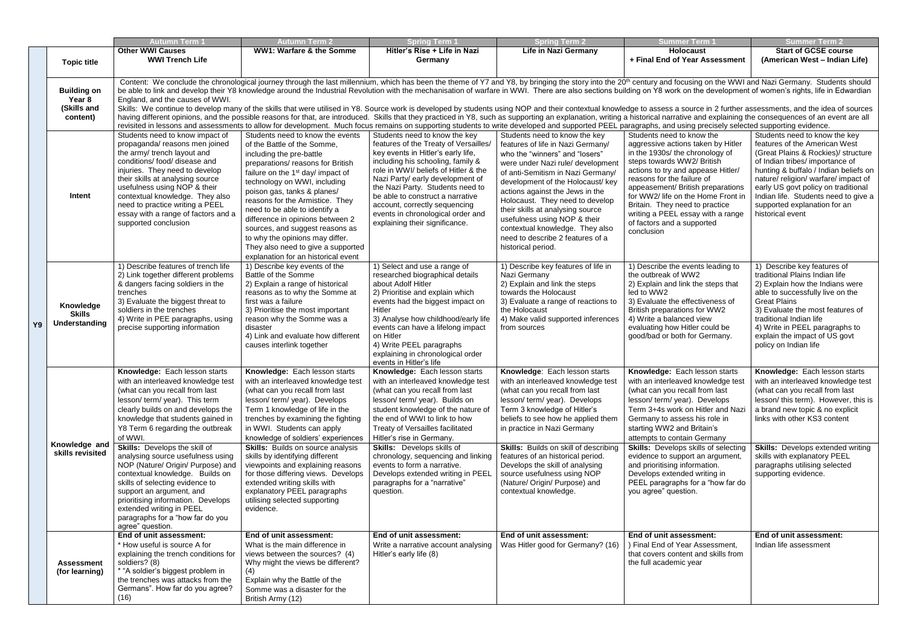|    |                                                         | <b>Autumn Term 1</b>                                                                                                                                                                                                                                                                                                                                                                                                                                                                                                                                                                                          | Autumn Term 2                                                                                                                                                                                                                                                                                                                                                                                                                                                                                                                                             | <b>Spring Term 1</b>                                                                                                                                                                                                                                                                                                                                                                                                                                                                                                                                                                                                                                                                                                                                                                                                                                                                                                                                                                                                                                                                                                                                     | <b>Spring Term 2</b>                                                                                                                                                                                                                                                                                                                                                                                                                                       | <b>Summer Term 1</b>                                                                                                                                                                                                                                                                                                                                                                                                                                                                     | <b>Summer Term 2</b>                                                                                                                                                                                                                                                                                                                                         |
|----|---------------------------------------------------------|---------------------------------------------------------------------------------------------------------------------------------------------------------------------------------------------------------------------------------------------------------------------------------------------------------------------------------------------------------------------------------------------------------------------------------------------------------------------------------------------------------------------------------------------------------------------------------------------------------------|-----------------------------------------------------------------------------------------------------------------------------------------------------------------------------------------------------------------------------------------------------------------------------------------------------------------------------------------------------------------------------------------------------------------------------------------------------------------------------------------------------------------------------------------------------------|----------------------------------------------------------------------------------------------------------------------------------------------------------------------------------------------------------------------------------------------------------------------------------------------------------------------------------------------------------------------------------------------------------------------------------------------------------------------------------------------------------------------------------------------------------------------------------------------------------------------------------------------------------------------------------------------------------------------------------------------------------------------------------------------------------------------------------------------------------------------------------------------------------------------------------------------------------------------------------------------------------------------------------------------------------------------------------------------------------------------------------------------------------|------------------------------------------------------------------------------------------------------------------------------------------------------------------------------------------------------------------------------------------------------------------------------------------------------------------------------------------------------------------------------------------------------------------------------------------------------------|------------------------------------------------------------------------------------------------------------------------------------------------------------------------------------------------------------------------------------------------------------------------------------------------------------------------------------------------------------------------------------------------------------------------------------------------------------------------------------------|--------------------------------------------------------------------------------------------------------------------------------------------------------------------------------------------------------------------------------------------------------------------------------------------------------------------------------------------------------------|
|    | <b>Topic title</b>                                      | <b>Other WWI Causes</b><br><b>WWI Trench Life</b>                                                                                                                                                                                                                                                                                                                                                                                                                                                                                                                                                             | <b>WW1: Warfare &amp; the Somme</b>                                                                                                                                                                                                                                                                                                                                                                                                                                                                                                                       | Hitler's Rise + Life in Nazi<br>Germany                                                                                                                                                                                                                                                                                                                                                                                                                                                                                                                                                                                                                                                                                                                                                                                                                                                                                                                                                                                                                                                                                                                  | <b>Life in Nazi Germany</b>                                                                                                                                                                                                                                                                                                                                                                                                                                | <b>Holocaust</b><br>+ Final End of Year Assessment                                                                                                                                                                                                                                                                                                                                                                                                                                       | <b>Start of GCSE course</b><br>(American West - Indian Life)                                                                                                                                                                                                                                                                                                 |
|    | <b>Building on</b><br>Year 8<br>(Skills and<br>content) | England, and the causes of WWI.                                                                                                                                                                                                                                                                                                                                                                                                                                                                                                                                                                               |                                                                                                                                                                                                                                                                                                                                                                                                                                                                                                                                                           | Content: We conclude the chronological journey through the last millennium, which has been the theme of Y7 and Y8, by bringing the story into the 20 <sup>th</sup> century and focusing on the WWI and Nazi Germany. Students should<br>be able to link and develop their Y8 knowledge around the Industrial Revolution with the mechanisation of warfare in WWI. There are also sections building on Y8 work on the development of women's rights, life in Edwardian<br>Skills: We continue to develop many of the skills that were utilised in Y8. Source work is developed by students using NOP and their contextual knowledge to assess a source in 2 further assessments, and the idea of sources<br>having different opinions, and the possible reasons for that, are introduced. Skills that they practiced in Y8, such as supporting an explanation, writing a historical narrative and explaining the consequences of an event<br>revisited in lessons and assessments to allow for development. Much focus remains on supporting students to write developed and supported PEEL paragraphs, and using precisely selected supporting evidence. |                                                                                                                                                                                                                                                                                                                                                                                                                                                            |                                                                                                                                                                                                                                                                                                                                                                                                                                                                                          |                                                                                                                                                                                                                                                                                                                                                              |
|    | Intent                                                  | Students need to know impact of<br>propaganda/ reasons men joined<br>the army/ trench layout and<br>conditions/ food/ disease and<br>injuries. They need to develop<br>their skills at analysing source<br>usefulness using NOP & their<br>contextual knowledge. They also<br>need to practice writing a PEEL<br>essay with a range of factors and a<br>supported conclusion                                                                                                                                                                                                                                  | Students need to know the events<br>of the Battle of the Somme,<br>including the pre-battle<br>preparations/ reasons for British<br>failure on the 1 <sup>st</sup> day/ impact of<br>technology on WWI, including<br>poison gas, tanks & planes/<br>reasons for the Armistice. They<br>need to be able to identify a<br>difference in opinions between 2<br>sources, and suggest reasons as<br>to why the opinions may differ.<br>They also need to give a supported<br>explanation for an historical event                                               | Students need to know the key<br>features of the Treaty of Versailles/<br>key events in Hitler's early life,<br>including his schooling, family &<br>role in WWI/ beliefs of Hitler & the<br>Nazi Party/ early development of<br>the Nazi Party. Students need to<br>be able to construct a narrative<br>account, correctly sequencing<br>events in chronological order and<br>explaining their significance.                                                                                                                                                                                                                                                                                                                                                                                                                                                                                                                                                                                                                                                                                                                                            | Students need to know the key<br>features of life in Nazi Germany/<br>who the "winners" and "losers"<br>were under Nazi rule/ development<br>of anti-Semitism in Nazi Germany/<br>development of the Holocaust/ key<br>actions against the Jews in the<br>Holocaust. They need to develop<br>their skills at analysing source<br>usefulness using NOP & their<br>contextual knowledge. They also<br>need to describe 2 features of a<br>historical period. | Students need to know the<br>aggressive actions taken by Hitler<br>in the 1930s/ the chronology of<br>steps towards WW2/ British<br>actions to try and appease Hitler/<br>reasons for the failure of<br>appeasement/ British preparations<br>for WW2/ life on the Home Front in<br>Britain. They need to practice<br>writing a PEEL essay with a range<br>of factors and a supported<br>conclusion                                                                                       | Students need to know the key<br>features of the American West<br>(Great Plains & Rockies)/ structure<br>of Indian tribes/ importance of<br>hunting & buffalo / Indian beliefs on<br>nature/ religion/ warfare/ impact of<br>early US govt policy on traditional<br>Indian life. Students need to give a<br>supported explanation for an<br>historical event |
| Y9 | Knowledge<br><b>Skills</b><br>Understanding             | 1) Describe features of trench life<br>2) Link together different problems<br>& dangers facing soldiers in the<br>trenches<br>3) Evaluate the biggest threat to<br>soldiers in the trenches<br>4) Write in PEE paragraphs, using<br>precise supporting information                                                                                                                                                                                                                                                                                                                                            | 1) Describe key events of the<br>Battle of the Somme<br>2) Explain a range of historical<br>reasons as to why the Somme at<br>first was a failure<br>3) Prioritise the most important<br>reason why the Somme was a<br>disaster<br>4) Link and evaluate how different<br>causes interlink together                                                                                                                                                                                                                                                        | 1) Select and use a range of<br>researched biographical details<br>about Adolf Hitler<br>2) Prioritise and explain which<br>events had the biggest impact on<br>Hitler<br>3) Analyse how childhood/early life<br>events can have a lifelong impact<br>on Hitler<br>4) Write PEEL paragraphs<br>explaining in chronological order<br>events in Hitler's life                                                                                                                                                                                                                                                                                                                                                                                                                                                                                                                                                                                                                                                                                                                                                                                              | 1) Describe key features of life in<br>Nazi Germany<br>2) Explain and link the steps<br>towards the Holocaust<br>3) Evaluate a range of reactions to<br>the Holocaust<br>4) Make valid supported inferences<br>from sources                                                                                                                                                                                                                                | 1) Describe the events leading to<br>the outbreak of WW2<br>2) Explain and link the steps that<br>led to WW2<br>3) Evaluate the effectiveness of<br>British preparations for WW2<br>4) Write a balanced view<br>evaluating how Hitler could be<br>good/bad or both for Germany.                                                                                                                                                                                                          | 1) Describe key features of<br>traditional Plains Indian life<br>2) Explain how the Indians were<br>able to successfully live on the<br><b>Great Plains</b><br>3) Evaluate the most features of<br>traditional Indian life<br>4) Write in PEEL paragraphs to<br>explain the impact of US govt<br>policy on Indian life                                       |
|    | Knowledge and<br>skills revisited                       | Knowledge: Each lesson starts<br>with an interleaved knowledge test<br>(what can you recall from last<br>lesson/term/year). This term<br>clearly builds on and develops the<br>knowledge that students gained in<br>Y8 Term 6 regarding the outbreak<br>of WWI.<br><b>Skills:</b> Develops the skill of<br>analysing source usefulness using<br>NOP (Nature/ Origin/ Purpose) and<br>contextual knowledge. Builds on<br>skills of selecting evidence to<br>support an argument, and<br>prioritising information. Develops<br>extended writing in PEEL<br>paragraphs for a "how far do you<br>agree" question. | Knowledge: Each lesson starts<br>with an interleaved knowledge test<br>(what can you recall from last<br>lesson/term/year). Develops<br>Term 1 knowledge of life in the<br>trenches by examining the fighting<br>in WWI. Students can apply<br>knowledge of soldiers' experiences<br><b>Skills:</b> Builds on source analysis<br>skills by identifying different<br>viewpoints and explaining reasons<br>for those differing views. Develops<br>extended writing skills with<br>explanatory PEEL paragraphs<br>utilising selected supporting<br>evidence. | Knowledge: Each lesson starts<br>with an interleaved knowledge test<br>(what can you recall from last<br>lesson/ term/ year). Builds on<br>student knowledge of the nature of<br>the end of WWI to link to how<br>Treaty of Versailles facilitated<br>Hitler's rise in Germany.<br><b>Skills:</b> Develops skills of<br>chronology, sequencing and linking<br>events to form a narrative.<br>Develops extended writing in PEEL<br>paragraphs for a "narrative"<br>question.                                                                                                                                                                                                                                                                                                                                                                                                                                                                                                                                                                                                                                                                              | Knowledge: Each lesson starts<br>with an interleaved knowledge test<br>(what can you recall from last<br>lesson/term/year). Develops<br>Term 3 knowledge of Hitler's<br>beliefs to see how he applied them<br>in practice in Nazi Germany<br><b>Skills:</b> Builds on skill of describing<br>features of an historical period.<br>Develops the skill of analysing<br>source usefulness using NOP<br>(Nature/ Origin/ Purpose) and<br>contextual knowledge. | Knowledge: Each lesson starts<br>with an interleaved knowledge test<br>(what can you recall from last<br>lesson/term/year). Develops<br>Term 3+4s work on Hitler and Nazi<br>Germany to assess his role in<br>starting WW2 and Britain's<br>attempts to contain Germany<br><b>Skills:</b> Develops skills of selecting<br>evidence to support an argument,<br>and prioritising information.<br>Develops extended writing in<br>PEEL paragraphs for a "how far do<br>you agree" question. | Knowledge: Each lesson starts<br>with an interleaved knowledge test<br>(what can you recall from last<br>lesson/this term). However, this is<br>a brand new topic & no explicit<br>links with other KS3 content<br><b>Skills:</b> Develops extended writing<br>skills with explanatory PEEL<br>paragraphs utilising selected<br>supporting evidence.         |
|    | <b>Assessment</b><br>(for learning)                     | End of unit assessment:<br>* How useful is source A for<br>explaining the trench conditions for<br>soldiers? (8)<br>* "A soldier's biggest problem in<br>the trenches was attacks from the<br>Germans". How far do you agree?<br>(16)                                                                                                                                                                                                                                                                                                                                                                         | End of unit assessment:<br>What is the main difference in<br>views between the sources? (4)<br>Why might the views be different?<br>(4)<br>Explain why the Battle of the<br>Somme was a disaster for the<br>British Army (12)                                                                                                                                                                                                                                                                                                                             | End of unit assessment:<br>Write a narrative account analysing<br>Hitler's early life (8)                                                                                                                                                                                                                                                                                                                                                                                                                                                                                                                                                                                                                                                                                                                                                                                                                                                                                                                                                                                                                                                                | End of unit assessment:<br>Was Hitler good for Germany? (16)                                                                                                                                                                                                                                                                                                                                                                                               | End of unit assessment:<br>) Final End of Year Assessment,<br>that covers content and skills from<br>the full academic year                                                                                                                                                                                                                                                                                                                                                              | End of unit assessment:<br>Indian life assessment                                                                                                                                                                                                                                                                                                            |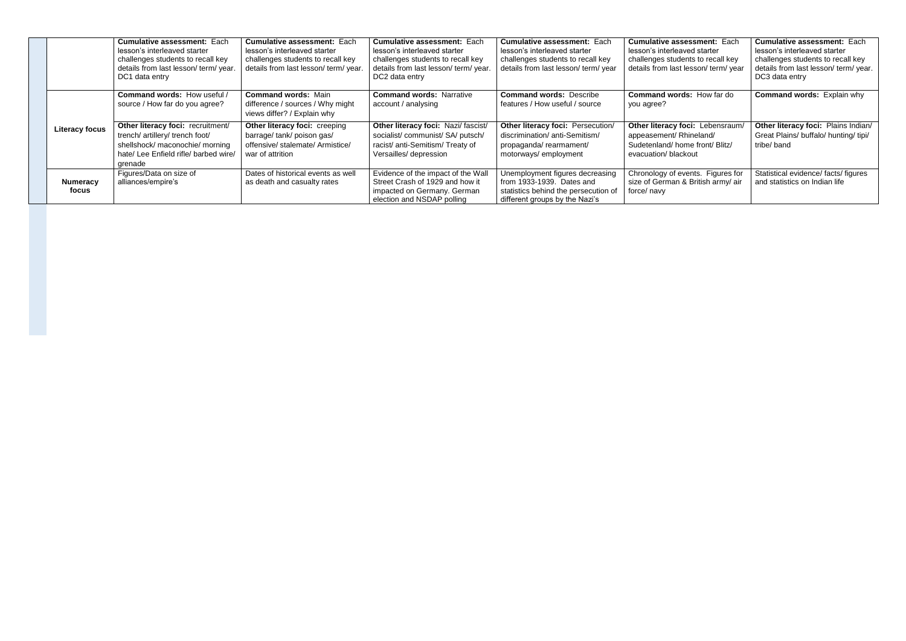|                          | <b>Cumulative assessment: Each</b><br>lesson's interleaved starter<br>challenges students to recall key<br>details from last lesson/ term/ year.<br>DC1 data entry | <b>Cumulative assessment: Each</b><br>lesson's interleaved starter<br>challenges students to recall key<br>details from last lesson/term/year. | <b>Cumulative assessment: Each</b><br>lesson's interleaved starter<br>challenges students to recall key<br>details from last lesson/ term/ year.<br>DC2 data entry | <b>Cumulative assessment: Each</b><br>lesson's interleaved starter<br>challenges students to recall key<br>details from last lesson/term/year | <b>Cumulative assessment: Each</b><br>lesson's interleaved starter<br>challenges students to recall key<br>details from last lesson/ term/ year | <b>Cumulative assessment: Each</b><br>lesson's interleaved starter<br>challenges students to recall key<br>details from last lesson/ term/ year.<br>DC3 data entry |
|--------------------------|--------------------------------------------------------------------------------------------------------------------------------------------------------------------|------------------------------------------------------------------------------------------------------------------------------------------------|--------------------------------------------------------------------------------------------------------------------------------------------------------------------|-----------------------------------------------------------------------------------------------------------------------------------------------|-------------------------------------------------------------------------------------------------------------------------------------------------|--------------------------------------------------------------------------------------------------------------------------------------------------------------------|
|                          | <b>Command words: How useful /</b><br>source / How far do you agree?                                                                                               | <b>Command words: Main</b><br>difference / sources / Why might<br>views differ? / Explain why                                                  | <b>Command words: Narrative</b><br>account / analysing                                                                                                             | <b>Command words: Describe</b><br>features / How useful / source                                                                              | <b>Command words: How far do</b><br>you agree?                                                                                                  | <b>Command words: Explain why</b>                                                                                                                                  |
| <b>Literacy focus</b>    | Other literacy foci: recruitment/<br>trench/ artillery/ trench foot/<br>shellshock/ maconochie/ morning<br>hate/ Lee Enfield rifle/ barbed wire/<br>grenade        | Other literacy foci: creeping<br>barrage/ tank/ poison gas/<br>offensive/ stalemate/ Armistice/<br>war of attrition                            | Other literacy foci: Nazi/fascist/<br>socialist/communist/SA/putsch/<br>racist/ anti-Semitism/ Treaty of<br>Versailles/ depression                                 | Other literacy foci: Persecution/<br>discrimination/ anti-Semitism/<br>propaganda/rearmament/<br>motorways/employment                         | Other literacy foci: Lebensraum/<br>appeasement/ Rhineland/<br>Sudetenland/home front/ Blitz/<br>evacuation/ blackout                           | Other literacy foci: Plains Indian/<br>Great Plains/ buffalo/ hunting/ tipi/<br>tribe/band                                                                         |
| <b>Numeracy</b><br>focus | Figures/Data on size of<br>alliances/empire's                                                                                                                      | Dates of historical events as well<br>as death and casualty rates                                                                              | Evidence of the impact of the Wall<br>Street Crash of 1929 and how it<br>impacted on Germany. German<br>election and NSDAP polling                                 | Unemployment figures decreasing<br>from 1933-1939. Dates and<br>statistics behind the persecution of<br>different groups by the Nazi's        | Chronology of events. Figures for<br>size of German & British army/ air<br>force/ navy                                                          | Statistical evidence/ facts/ figures<br>and statistics on Indian life                                                                                              |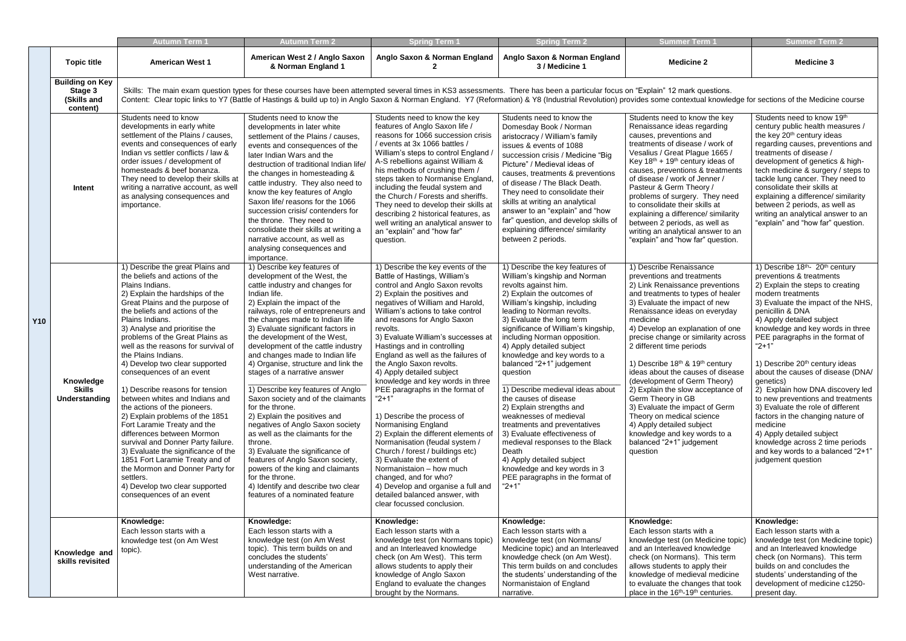|            |                                                              | Autumn Term 1                                                                                                                                                                                                                                                                                                                                                                                                                                                                                                                                                                                                                                                                                                                                                                                                                                       | Autumn Term 2                                                                                                                                                                                                                                                                                                                                                                                                                                                                                                                                                                                                                                                                                                                                                                                                                                                          | <b>Spring Term 1</b>                                                                                                                                                                                                                                                                                                                                                                                                                                                                                                                                                                                                                                                                                                                                                                                                                                                       | <b>Spring Term 2</b>                                                                                                                                                                                                                                                                                                                                                                                                                                                                                                                                                                                                                                                                                                                     | <b>Summer Term 1</b>                                                                                                                                                                                                                                                                                                                                                                                                                                                                                                                                                                                                                                     | <b>Summer Term 2</b>                                                                                                                                                                                                                                                                                                                                                                                                                                                                                                                                                                                                                                                                   |
|------------|--------------------------------------------------------------|-----------------------------------------------------------------------------------------------------------------------------------------------------------------------------------------------------------------------------------------------------------------------------------------------------------------------------------------------------------------------------------------------------------------------------------------------------------------------------------------------------------------------------------------------------------------------------------------------------------------------------------------------------------------------------------------------------------------------------------------------------------------------------------------------------------------------------------------------------|------------------------------------------------------------------------------------------------------------------------------------------------------------------------------------------------------------------------------------------------------------------------------------------------------------------------------------------------------------------------------------------------------------------------------------------------------------------------------------------------------------------------------------------------------------------------------------------------------------------------------------------------------------------------------------------------------------------------------------------------------------------------------------------------------------------------------------------------------------------------|----------------------------------------------------------------------------------------------------------------------------------------------------------------------------------------------------------------------------------------------------------------------------------------------------------------------------------------------------------------------------------------------------------------------------------------------------------------------------------------------------------------------------------------------------------------------------------------------------------------------------------------------------------------------------------------------------------------------------------------------------------------------------------------------------------------------------------------------------------------------------|------------------------------------------------------------------------------------------------------------------------------------------------------------------------------------------------------------------------------------------------------------------------------------------------------------------------------------------------------------------------------------------------------------------------------------------------------------------------------------------------------------------------------------------------------------------------------------------------------------------------------------------------------------------------------------------------------------------------------------------|----------------------------------------------------------------------------------------------------------------------------------------------------------------------------------------------------------------------------------------------------------------------------------------------------------------------------------------------------------------------------------------------------------------------------------------------------------------------------------------------------------------------------------------------------------------------------------------------------------------------------------------------------------|----------------------------------------------------------------------------------------------------------------------------------------------------------------------------------------------------------------------------------------------------------------------------------------------------------------------------------------------------------------------------------------------------------------------------------------------------------------------------------------------------------------------------------------------------------------------------------------------------------------------------------------------------------------------------------------|
|            | <b>Topic title</b>                                           | <b>American West 1</b>                                                                                                                                                                                                                                                                                                                                                                                                                                                                                                                                                                                                                                                                                                                                                                                                                              | American West 2 / Anglo Saxon<br>& Norman England 1                                                                                                                                                                                                                                                                                                                                                                                                                                                                                                                                                                                                                                                                                                                                                                                                                    | Anglo Saxon & Norman England                                                                                                                                                                                                                                                                                                                                                                                                                                                                                                                                                                                                                                                                                                                                                                                                                                               | Anglo Saxon & Norman England<br>3 / Medicine 1                                                                                                                                                                                                                                                                                                                                                                                                                                                                                                                                                                                                                                                                                           | <b>Medicine 2</b>                                                                                                                                                                                                                                                                                                                                                                                                                                                                                                                                                                                                                                        | <b>Medicine 3</b>                                                                                                                                                                                                                                                                                                                                                                                                                                                                                                                                                                                                                                                                      |
|            | <b>Building on Key</b><br>Stage 3<br>(Skills and<br>content) |                                                                                                                                                                                                                                                                                                                                                                                                                                                                                                                                                                                                                                                                                                                                                                                                                                                     | Skills: The main exam question types for these courses have been attempted several times in KS3 assessments. There has been a particular focus on "Explain" 12 mark questions.<br>Content: Clear topic links to Y7 (Battle of Hastings & build up to) in Anglo Saxon & Norman England. Y7 (Reformation) & Y8 (Industrial Revolution) provides some contextual knowledge for sections of the Medicine course                                                                                                                                                                                                                                                                                                                                                                                                                                                            |                                                                                                                                                                                                                                                                                                                                                                                                                                                                                                                                                                                                                                                                                                                                                                                                                                                                            |                                                                                                                                                                                                                                                                                                                                                                                                                                                                                                                                                                                                                                                                                                                                          |                                                                                                                                                                                                                                                                                                                                                                                                                                                                                                                                                                                                                                                          |                                                                                                                                                                                                                                                                                                                                                                                                                                                                                                                                                                                                                                                                                        |
|            | Intent                                                       | Students need to know<br>developments in early white<br>settlement of the Plains / causes,<br>events and consequences of early<br>Indian vs settler conflicts / law &<br>order issues / development of<br>homesteads & beef bonanza.<br>They need to develop their skills at<br>writing a narrative account, as well<br>as analysing consequences and<br>importance.                                                                                                                                                                                                                                                                                                                                                                                                                                                                                | Students need to know the<br>developments in later white<br>settlement of the Plains / causes,<br>events and consequences of the<br>later Indian Wars and the<br>destruction of traditional Indian life<br>the changes in homesteading &<br>cattle industry. They also need to<br>know the key features of Anglo<br>Saxon life/ reasons for the 1066<br>succession crisis/ contenders for<br>the throne. They need to<br>consolidate their skills at writing a<br>narrative account, as well as<br>analysing consequences and<br>importance.                                                                                                                                                                                                                                                                                                                           | Students need to know the key<br>features of Anglo Saxon life /<br>reasons for 1066 succession crisis<br>/ events at 3x 1066 battles /<br>William's steps to control England /<br>A-S rebellions against William &<br>his methods of crushing them /<br>steps taken to Normanise England,<br>including the feudal system and<br>the Church / Forests and sheriffs.<br>They need to develop their skills at<br>describing 2 historical features, as<br>well writing an analytical answer to<br>an "explain" and "how far"<br>question.                                                                                                                                                                                                                                                                                                                                      | Students need to know the<br>Domesday Book / Norman<br>aristocracy / William's family<br>issues & events of 1088<br>succession crisis / Medicine "Big<br>Picture" / Medieval ideas of<br>causes, treatments & preventions<br>of disease / The Black Death.<br>They need to consolidate their<br>skills at writing an analytical<br>answer to an "explain" and "how<br>far" question, and develop skills of<br>explaining difference/ similarity<br>between 2 periods.                                                                                                                                                                                                                                                                    | Students need to know the key<br>Renaissance ideas regarding<br>causes, preventions and<br>treatments of disease / work of<br>Vesalius / Great Plague 1665 /<br>Key $18th + 19th$ century ideas of<br>causes, preventions & treatments<br>of disease / work of Jenner /<br>Pasteur & Germ Theory /<br>problems of surgery. They need<br>to consolidate their skills at<br>explaining a difference/ similarity<br>between 2 periods, as well as<br>writing an analytical answer to an<br>"explain" and "how far" question.                                                                                                                                | Students need to know 19th<br>century public health measures /<br>the key 20 <sup>th</sup> century ideas<br>regarding causes, preventions and<br>treatments of disease /<br>development of genetics & high-<br>tech medicine & surgery / steps to<br>tackle lung cancer. They need to<br>consolidate their skills at<br>explaining a difference/ similarity<br>between 2 periods, as well as<br>writing an analytical answer to an<br>"explain" and "how far" question.                                                                                                                                                                                                                |
| <b>Y10</b> | Knowledge<br><b>Skills</b><br>Understanding                  | 1) Describe the great Plains and<br>the beliefs and actions of the<br>Plains Indians.<br>2) Explain the hardships of the<br>Great Plains and the purpose of<br>the beliefs and actions of the<br>Plains Indians.<br>3) Analyse and prioritise the<br>problems of the Great Plains as<br>well as the reasons for survival of<br>the Plains Indians.<br>4) Develop two clear supported<br>consequences of an event<br>1) Describe reasons for tension<br>between whites and Indians and<br>the actions of the pioneers.<br>2) Explain problems of the 1851<br>Fort Laramie Treaty and the<br>differences between Mormon<br>survival and Donner Party failure.<br>3) Evaluate the significance of the<br>1851 Fort Laramie Treaty and of<br>the Mormon and Donner Party for<br>settlers.<br>4) Develop two clear supported<br>consequences of an event | 1) Describe key features of<br>development of the West, the<br>cattle industry and changes for<br>Indian life.<br>2) Explain the impact of the<br>railways, role of entrepreneurs and<br>the changes made to Indian life<br>3) Evaluate significant factors in<br>the development of the West,<br>development of the cattle industry<br>and changes made to Indian life<br>4) Organise, structure and link the<br>stages of a narrative answer<br>1) Describe key features of Anglo<br>Saxon society and of the claimants<br>for the throne.<br>2) Explain the positives and<br>negatives of Anglo Saxon society<br>as well as the claimants for the<br>throne.<br>3) Evaluate the significance of<br>features of Anglo Saxon society,<br>powers of the king and claimants<br>for the throne.<br>4) Identify and describe two clear<br>features of a nominated feature | 1) Describe the key events of the<br>Battle of Hastings, William's<br>control and Anglo Saxon revolts<br>2) Explain the positives and<br>negatives of William and Harold,<br>William's actions to take control<br>and reasons for Anglo Saxon<br>revolts.<br>3) Evaluate William's successes at<br>Hastings and in controlling<br>England as well as the failures of<br>the Anglo Saxon revolts.<br>4) Apply detailed subject<br>knowledge and key words in three<br>PEE paragraphs in the format of<br>$"2+1"$<br>1) Describe the process of<br>Normanising England<br>2) Explain the different elements of<br>Normanisation (feudal system /<br>Church / forest / buildings etc)<br>3) Evaluate the extent of<br>Normanistaion - how much<br>changed, and for who?<br>4) Develop and organise a full and<br>detailed balanced answer, with<br>clear focussed conclusion. | 1) Describe the key features of<br>William's kingship and Norman<br>revolts against him.<br>2) Explain the outcomes of<br>William's kingship, including<br>leading to Norman revolts.<br>3) Evaluate the long term<br>significance of William's kingship,<br>including Norman opposition.<br>4) Apply detailed subject<br>knowledge and key words to a<br>balanced "2+1" judgement<br>question<br>1) Describe medieval ideas about<br>the causes of disease<br>2) Explain strengths and<br>weaknesses of medieval<br>treatments and preventatives<br>3) Evaluate effectiveness of<br>medieval responses to the Black<br>Death<br>4) Apply detailed subject<br>knowledge and key words in 3<br>PEE paragraphs in the format of<br>$"2+1"$ | 1) Describe Renaissance<br>preventions and treatments<br>2) Link Renaissance preventions<br>and treatments to types of healer<br>3) Evaluate the impact of new<br>Renaissance ideas on everyday<br>medicine<br>4) Develop an explanation of one<br>precise change or similarity across<br>2 different time periods<br>1) Describe 18th & 19th century<br>ideas about the causes of disease<br>(development of Germ Theory)<br>2) Explain the slow acceptance of<br>Germ Theory in GB<br>3) Evaluate the impact of Germ<br>Theory on medical science<br>4) Apply detailed subject<br>knowledge and key words to a<br>balanced "2+1" judgement<br>question | 1) Describe 18th- 20th century<br>preventions & treatments<br>2) Explain the steps to creating<br>modern treatments<br>3) Evaluate the impact of the NHS,<br>penicillin & DNA<br>4) Apply detailed subject<br>knowledge and key words in three<br>PEE paragraphs in the format of<br>$"2+1"$<br>1) Describe 20 <sup>th</sup> century ideas<br>about the causes of disease (DNA/<br>genetics)<br>2) Explain how DNA discovery led<br>to new preventions and treatments<br>3) Evaluate the role of different<br>factors in the changing nature of<br>medicine<br>4) Apply detailed subject<br>knowledge across 2 time periods<br>and key words to a balanced "2+1"<br>judgement question |
|            | Knowledge and<br>skills revisited                            | Knowledge:<br>Each lesson starts with a<br>knowledge test (on Am West<br>topic).                                                                                                                                                                                                                                                                                                                                                                                                                                                                                                                                                                                                                                                                                                                                                                    | Knowledge:<br>Each lesson starts with a<br>knowledge test (on Am West<br>topic). This term builds on and<br>concludes the students'<br>understanding of the American<br>West narrative.                                                                                                                                                                                                                                                                                                                                                                                                                                                                                                                                                                                                                                                                                | Knowledge:<br>Each lesson starts with a<br>knowledge test (on Normans topic)<br>and an Interleaved knowledge<br>check (on Am West). This term<br>allows students to apply their<br>knowledge of Anglo Saxon<br>England to evaluate the changes<br>brought by the Normans.                                                                                                                                                                                                                                                                                                                                                                                                                                                                                                                                                                                                  | Knowledge:<br>Each lesson starts with a<br>knowledge test (on Normans/<br>Medicine topic) and an Interleaved<br>knowledge check (on Am West).<br>This term builds on and concludes<br>the students' understanding of the<br>Normanistaion of England<br>narrative.                                                                                                                                                                                                                                                                                                                                                                                                                                                                       | Knowledge:<br>Each lesson starts with a<br>knowledge test (on Medicine topic)<br>and an Interleaved knowledge<br>check (on Normans). This term<br>allows students to apply their<br>knowledge of medieval medicine<br>to evaluate the changes that took<br>place in the 16 <sup>th</sup> -19 <sup>th</sup> centuries.                                                                                                                                                                                                                                                                                                                                    | Knowledge:<br>Each lesson starts with a<br>knowledge test (on Medicine topic)<br>and an Interleaved knowledge<br>check (on Normans). This term<br>builds on and concludes the<br>students' understanding of the<br>development of medicine c1250-<br>present day.                                                                                                                                                                                                                                                                                                                                                                                                                      |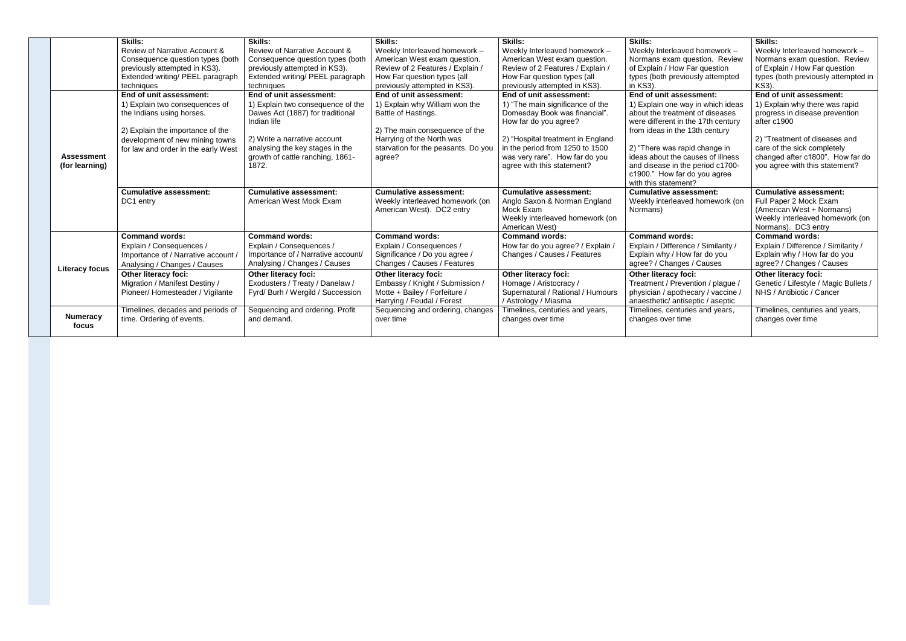|  |                          | <b>Skills:</b>                      | Skills:                            | Skills:                             | <b>Skills:</b>                    | <b>Skills:</b>                      | <b>Skills:</b>                        |
|--|--------------------------|-------------------------------------|------------------------------------|-------------------------------------|-----------------------------------|-------------------------------------|---------------------------------------|
|  |                          | Review of Narrative Account &       | Review of Narrative Account &      | Weekly Interleaved homework -       | Weekly Interleaved homework -     | Weekly Interleaved homework -       | Weekly Interleaved homework -         |
|  |                          | Consequence question types (both    | Consequence question types (both   | American West exam question.        | American West exam question.      | Normans exam question. Review       | Normans exam question. Review         |
|  |                          | previously attempted in KS3).       | previously attempted in KS3).      | Review of 2 Features / Explain /    | Review of 2 Features / Explain /  | of Explain / How Far question       | of Explain / How Far question         |
|  |                          | Extended writing/ PEEL paragraph    | Extended writing/ PEEL paragraph   | How Far question types (all         | How Far question types (all       | types (both previously attempted    | types (both previously attempted in   |
|  |                          | techniques                          | techniques                         | previously attempted in KS3).       | previously attempted in KS3).     | in KS3).                            | <b>KS3).</b>                          |
|  |                          | End of unit assessment:             | End of unit assessment:            | End of unit assessment:             | End of unit assessment:           | End of unit assessment:             | End of unit assessment:               |
|  |                          | 1) Explain two consequences of      | 1) Explain two consequence of the  | 1) Explain why William won the      | 1) "The main significance of the  | 1) Explain one way in which ideas   | 1) Explain why there was rapid        |
|  |                          | the Indians using horses.           | Dawes Act (1887) for traditional   | Battle of Hastings.                 | Domesday Book was financial".     | about the treatment of diseases     | progress in disease prevention        |
|  |                          |                                     | Indian life                        |                                     | How far do you agree?             | were different in the 17th century  | after c1900                           |
|  |                          | 2) Explain the importance of the    |                                    | 2) The main consequence of the      |                                   | from ideas in the 13th century      |                                       |
|  |                          | development of new mining towns     | 2) Write a narrative account       | Harrying of the North was           | 2) "Hospital treatment in England |                                     | 2) "Treatment of diseases and         |
|  |                          | for law and order in the early West | analysing the key stages in the    | starvation for the peasants. Do you | in the period from 1250 to 1500   | 2) "There was rapid change in       | care of the sick completely           |
|  | <b>Assessment</b>        |                                     | growth of cattle ranching, 1861-   | agree?                              | was very rare". How far do you    | ideas about the causes of illness   | changed after c1800". How far do      |
|  | (for learning)           |                                     | 1872.                              |                                     | agree with this statement?        | and disease in the period c1700-    | you agree with this statement?        |
|  |                          |                                     |                                    |                                     |                                   | c1900." How far do you agree        |                                       |
|  |                          |                                     |                                    |                                     |                                   | with this statement?                |                                       |
|  |                          |                                     |                                    |                                     |                                   |                                     |                                       |
|  |                          | Cumulative assessment:              | <b>Cumulative assessment:</b>      | <b>Cumulative assessment:</b>       | <b>Cumulative assessment:</b>     | <b>Cumulative assessment:</b>       | <b>Cumulative assessment:</b>         |
|  |                          | DC1 entry                           | American West Mock Exam            | Weekly interleaved homework (on     | Anglo Saxon & Norman England      | Weekly interleaved homework (on     | Full Paper 2 Mock Exam                |
|  |                          |                                     |                                    | American West). DC2 entry           | Mock Exam                         | Normans)                            | (American West + Normans)             |
|  |                          |                                     |                                    |                                     | Weekly interleaved homework (on   |                                     | Weekly interleaved homework (on       |
|  |                          |                                     |                                    |                                     | American West)                    |                                     | Normans). DC3 entry                   |
|  |                          | <b>Command words:</b>               | <b>Command words:</b>              | <b>Command words:</b>               | <b>Command words:</b>             | <b>Command words:</b>               | <b>Command words:</b>                 |
|  |                          | Explain / Consequences /            | Explain / Consequences /           | Explain / Consequences /            | How far do you agree? / Explain / | Explain / Difference / Similarity / | Explain / Difference / Similarity /   |
|  |                          | Importance of / Narrative account   | Importance of / Narrative account/ | Significance / Do you agree /       | Changes / Causes / Features       | Explain why / How far do you        | Explain why / How far do you          |
|  | <b>Literacy focus</b>    | Analysing / Changes / Causes        | Analysing / Changes / Causes       | Changes / Causes / Features         |                                   | agree? / Changes / Causes           | agree? / Changes / Causes             |
|  |                          | <b>Other literacy foci:</b>         | Other literacy foci:               | <b>Other literacy foci:</b>         | <b>Other literacy foci:</b>       | <b>Other literacy foci:</b>         | <b>Other literacy foci:</b>           |
|  |                          | Migration / Manifest Destiny /      | Exodusters / Treaty / Danelaw /    | Embassy / Knight / Submission /     | Homage / Aristocracy /            | Treatment / Prevention / plague /   | Genetic / Lifestyle / Magic Bullets / |
|  |                          | Pioneer/Homesteader / Vigilante     | Fyrd/ Burh / Wergild / Succession  | Motte + Bailey / Forfeiture /       | Supernatural / Rational / Humours | physician / apothecary / vaccine /  | NHS / Antibiotic / Cancer             |
|  |                          |                                     |                                    | Harrying / Feudal / Forest          | / Astrology / Miasma              | anaesthetic/ antiseptic / aseptic   |                                       |
|  |                          | Timelines, decades and periods of   | Sequencing and ordering. Profit    | Sequencing and ordering, changes    | Timelines, centuries and years,   | Timelines, centuries and years,     | Timelines, centuries and years,       |
|  | <b>Numeracy</b><br>focus | time. Ordering of events.           | and demand.                        | over time                           | changes over time                 | changes over time                   | changes over time                     |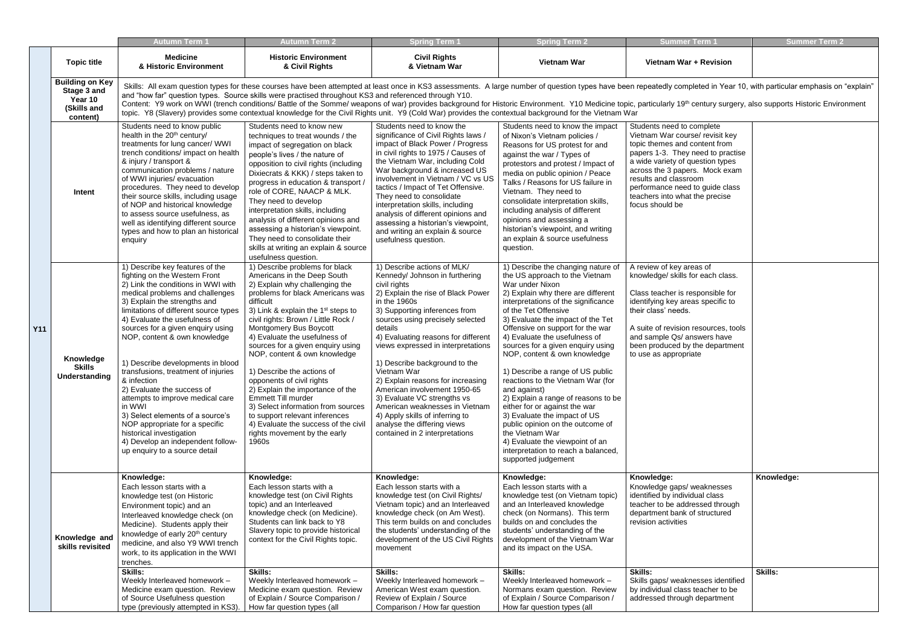## **& Vietnam War Vietnam War Vietnam War + Revision**

ompleted in Year 10, with particular emphasis on "explain"

9<sup>th</sup> century surgery, also supports Historic Environment

|            |                                                                             | <b>Autumn Term</b> 1                                                                                                                                                                                                                                                                                                                                                                                                                                                                                                                                                                                                                                                    | <b>Autumn Term 2</b>                                                                                                                                                                                                                                                                                                                                                                                                                                                                                                                                                                                                                                    | <b>Spring Term 1</b>                                                                                                                                                                                                                                                                                                                                                                                                                                                                                                                                                                                         | <b>Spring Term 2</b>                                                                                                                                                                                                                                                                                                                                                                                                                                                                                                                                                                                                                                                                                                                 | <b>Summer Term</b>                                                                                                                                                                                                                                                                                                        | <b>Summer Term 2</b> |
|------------|-----------------------------------------------------------------------------|-------------------------------------------------------------------------------------------------------------------------------------------------------------------------------------------------------------------------------------------------------------------------------------------------------------------------------------------------------------------------------------------------------------------------------------------------------------------------------------------------------------------------------------------------------------------------------------------------------------------------------------------------------------------------|---------------------------------------------------------------------------------------------------------------------------------------------------------------------------------------------------------------------------------------------------------------------------------------------------------------------------------------------------------------------------------------------------------------------------------------------------------------------------------------------------------------------------------------------------------------------------------------------------------------------------------------------------------|--------------------------------------------------------------------------------------------------------------------------------------------------------------------------------------------------------------------------------------------------------------------------------------------------------------------------------------------------------------------------------------------------------------------------------------------------------------------------------------------------------------------------------------------------------------------------------------------------------------|--------------------------------------------------------------------------------------------------------------------------------------------------------------------------------------------------------------------------------------------------------------------------------------------------------------------------------------------------------------------------------------------------------------------------------------------------------------------------------------------------------------------------------------------------------------------------------------------------------------------------------------------------------------------------------------------------------------------------------------|---------------------------------------------------------------------------------------------------------------------------------------------------------------------------------------------------------------------------------------------------------------------------------------------------------------------------|----------------------|
|            | <b>Topic title</b>                                                          | <b>Medicine</b><br>& Historic Environment                                                                                                                                                                                                                                                                                                                                                                                                                                                                                                                                                                                                                               | <b>Historic Environment</b><br>& Civil Rights                                                                                                                                                                                                                                                                                                                                                                                                                                                                                                                                                                                                           | <b>Civil Rights</b><br>& Vietnam War                                                                                                                                                                                                                                                                                                                                                                                                                                                                                                                                                                         | <b>Vietnam War</b>                                                                                                                                                                                                                                                                                                                                                                                                                                                                                                                                                                                                                                                                                                                   | Vietnam War + Revision                                                                                                                                                                                                                                                                                                    |                      |
|            | <b>Building on Key</b><br>Stage 3 and<br>Year 10<br>(Skills and<br>content) |                                                                                                                                                                                                                                                                                                                                                                                                                                                                                                                                                                                                                                                                         | and "how far" question types. Source skills were practised throughout KS3 and referenced through Y10.                                                                                                                                                                                                                                                                                                                                                                                                                                                                                                                                                   | Skills: All exam question types for these courses have been attempted at least once in KS3 assessments. A large number of question types have been repeatedly completed in Year 10, with particular emphasis on<br>Content: Y9 work on WWI (trench conditions/ Battle of the Somme/ weapons of war) provides background for Historic Environment. Y10 Medicine topic, particularly 19 <sup>th</sup> century surgery, also supports Historic Enviro<br>topic. Y8 (Slavery) provides some contextual knowledge for the Civil Rights unit. Y9 (Cold War) provides the contextual background for the Vietnam War |                                                                                                                                                                                                                                                                                                                                                                                                                                                                                                                                                                                                                                                                                                                                      |                                                                                                                                                                                                                                                                                                                           |                      |
|            | Intent                                                                      | Students need to know public<br>health in the 20 <sup>th</sup> century/<br>treatments for lung cancer/ WWI<br>trench conditions/ impact on health<br>& injury / transport &<br>communication problems / nature<br>of WWI injuries/ evacuation<br>procedures. They need to develop<br>their source skills, including usage<br>of NOP and historical knowledge<br>to assess source usefulness, as<br>well as identifying different source<br>types and how to plan an historical<br>enquiry                                                                                                                                                                               | Students need to know new<br>techniques to treat wounds / the<br>impact of segregation on black<br>people's lives / the nature of<br>opposition to civil rights (including<br>Dixiecrats & KKK) / steps taken to<br>progress in education & transport /<br>role of CORE, NAACP & MLK.<br>They need to develop<br>interpretation skills, including<br>analysis of different opinions and<br>assessing a historian's viewpoint.<br>They need to consolidate their<br>skills at writing an explain & source<br>usefulness question.                                                                                                                        | Students need to know the<br>significance of Civil Rights laws /<br>impact of Black Power / Progress<br>in civil rights to 1975 / Causes of<br>the Vietnam War, including Cold<br>War background & increased US<br>involvement in Vietnam / VC vs US<br>tactics / Impact of Tet Offensive.<br>They need to consolidate<br>interpretation skills, including<br>analysis of different opinions and<br>assessing a historian's viewpoint,<br>and writing an explain & source<br>usefulness question.                                                                                                            | Students need to know the impact<br>of Nixon's Vietnam policies /<br>Reasons for US protest for and<br>against the war / Types of<br>protestors and protest / Impact of<br>media on public opinion / Peace<br>Talks / Reasons for US failure in<br>Vietnam. They need to<br>consolidate interpretation skills,<br>including analysis of different<br>opinions and assessing a<br>historian's viewpoint, and writing<br>an explain & source usefulness<br>question.                                                                                                                                                                                                                                                                   | Students need to complete<br>Vietnam War course/ revisit key<br>topic themes and content from<br>papers 1-3. They need to practise<br>a wide variety of question types<br>across the 3 papers. Mock exam<br>results and classroom<br>performance need to guide class<br>teachers into what the precise<br>focus should be |                      |
| <b>Y11</b> | Knowledge<br><b>Skills</b><br>Understanding                                 | 1) Describe key features of the<br>fighting on the Western Front<br>2) Link the conditions in WWI with<br>medical problems and challenges<br>3) Explain the strengths and<br>limitations of different source types<br>4) Evaluate the usefulness of<br>sources for a given enquiry using<br>NOP, content & own knowledge<br>1) Describe developments in blood<br>transfusions, treatment of injuries<br>& infection<br>2) Evaluate the success of<br>attempts to improve medical care<br>in WWI<br>3) Select elements of a source's<br>NOP appropriate for a specific<br>historical investigation<br>4) Develop an independent follow-<br>up enquiry to a source detail | 1) Describe problems for black<br>Americans in the Deep South<br>2) Explain why challenging the<br>problems for black Americans was<br>difficult<br>3) Link & explain the 1 <sup>st</sup> steps to<br>civil rights: Brown / Little Rock /<br>Montgomery Bus Boycott<br>4) Evaluate the usefulness of<br>sources for a given enquiry using<br>NOP, content & own knowledge<br>1) Describe the actions of<br>opponents of civil rights<br>2) Explain the importance of the<br>Emmett Till murder<br>3) Select information from sources<br>to support relevant inferences<br>4) Evaluate the success of the civil<br>rights movement by the early<br>1960s | 1) Describe actions of MLK/<br>Kennedy/ Johnson in furthering<br>civil rights<br>2) Explain the rise of Black Power<br>in the 1960s<br>3) Supporting inferences from<br>sources using precisely selected<br>details<br>4) Evaluating reasons for different<br>views expressed in interpretations<br>1) Describe background to the<br>Vietnam War<br>2) Explain reasons for increasing<br>American involvement 1950-65<br>3) Evaluate VC strengths vs<br>American weaknesses in Vietnam<br>4) Apply skills of inferring to<br>analyse the differing views<br>contained in 2 interpretations                   | 1) Describe the changing nature of<br>the US approach to the Vietnam<br>War under Nixon<br>2) Explain why there are different<br>interpretations of the significance<br>of the Tet Offensive<br>3) Evaluate the impact of the Tet<br>Offensive on support for the war<br>4) Evaluate the usefulness of<br>sources for a given enquiry using<br>NOP, content & own knowledge<br>1) Describe a range of US public<br>reactions to the Vietnam War (for<br>and against)<br>2) Explain a range of reasons to be<br>either for or against the war<br>3) Evaluate the impact of US<br>public opinion on the outcome of<br>the Vietnam War<br>4) Evaluate the viewpoint of an<br>interpretation to reach a balanced,<br>supported judgement | A review of key areas of<br>knowledge/ skills for each class.<br>Class teacher is responsible for<br>identifying key areas specific to<br>their class' needs.<br>A suite of revision resources, tools<br>and sample Qs/ answers have<br>been produced by the department<br>to use as appropriate                          |                      |
|            | Knowledge and<br>skills revisited                                           | Knowledge:<br>Each lesson starts with a<br>knowledge test (on Historic<br>Environment topic) and an<br>Interleaved knowledge check (on<br>Medicine). Students apply their<br>knowledge of early 20 <sup>th</sup> century<br>medicine, and also Y9 WWI trench<br>work, to its application in the WWI<br>trenches.                                                                                                                                                                                                                                                                                                                                                        | Knowledge:<br>Each lesson starts with a<br>knowledge test (on Civil Rights<br>topic) and an Interleaved<br>knowledge check (on Medicine).<br>Students can link back to Y8<br>Slavery topic to provide historical<br>context for the Civil Rights topic.                                                                                                                                                                                                                                                                                                                                                                                                 | Knowledge:<br>Each lesson starts with a<br>knowledge test (on Civil Rights/<br>Vietnam topic) and an Interleaved<br>knowledge check (on Am West).<br>This term builds on and concludes<br>the students' understanding of the<br>development of the US Civil Rights<br>movement                                                                                                                                                                                                                                                                                                                               | Knowledge:<br>Each lesson starts with a<br>knowledge test (on Vietnam topic)<br>and an Interleaved knowledge<br>check (on Normans). This term<br>builds on and concludes the<br>students' understanding of the<br>development of the Vietnam War<br>and its impact on the USA.                                                                                                                                                                                                                                                                                                                                                                                                                                                       | Knowledge:<br>Knowledge gaps/ weaknesses<br>identified by individual class<br>teacher to be addressed through<br>department bank of structured<br>revision activities                                                                                                                                                     | Knowledge:           |
|            |                                                                             | Skills:<br>Weekly Interleaved homework -<br>Medicine exam question. Review<br>of Source Usefulness question<br>type (previously attempted in KS3).                                                                                                                                                                                                                                                                                                                                                                                                                                                                                                                      | <b>Skills:</b><br>Weekly Interleaved homework -<br>Medicine exam question. Review<br>of Explain / Source Comparison /<br>How far question types (all                                                                                                                                                                                                                                                                                                                                                                                                                                                                                                    | <b>Skills:</b><br>Weekly Interleaved homework -<br>American West exam question.<br>Review of Explain / Source<br>Comparison / How far question                                                                                                                                                                                                                                                                                                                                                                                                                                                               | <b>Skills:</b><br>Weekly Interleaved homework -<br>Normans exam question. Review<br>of Explain / Source Comparison /<br>How far question types (all                                                                                                                                                                                                                                                                                                                                                                                                                                                                                                                                                                                  | <b>Skills:</b><br>Skills gaps/ weaknesses identified<br>by individual class teacher to be<br>addressed through department                                                                                                                                                                                                 | <b>Skills:</b>       |

| u | ۰<br>۰ | $\sim$<br>$\sim$<br>ـ | u |  |
|---|--------|-----------------------|---|--|
|   |        |                       |   |  |

| Students need to complete<br>Vietnam War course/ revisit key<br>topic themes and content from<br>papers 1-3. They need to practise<br>a wide variety of question types<br>across the 3 papers. Mock exam<br>results and classroom<br>performance need to guide class<br>teachers into what the precise<br>focus should be |            |
|---------------------------------------------------------------------------------------------------------------------------------------------------------------------------------------------------------------------------------------------------------------------------------------------------------------------------|------------|
| A review of key areas of<br>knowledge/ skills for each class.                                                                                                                                                                                                                                                             |            |
| Class teacher is responsible for<br>identifying key areas specific to<br>their class' needs.                                                                                                                                                                                                                              |            |
| A suite of revision resources, tools<br>and sample Qs/ answers have<br>been produced by the department<br>to use as appropriate                                                                                                                                                                                           |            |
| Knowledge:<br>Knowledge gaps/ weaknesses<br>identified by individual class<br>teacher to be addressed through<br>department bank of structured<br>revision activities                                                                                                                                                     | Knowledge: |
| Skills:<br>Skills gaps/ weaknesses identified<br>by individual class teacher to be<br>addressed through department                                                                                                                                                                                                        | Skills:    |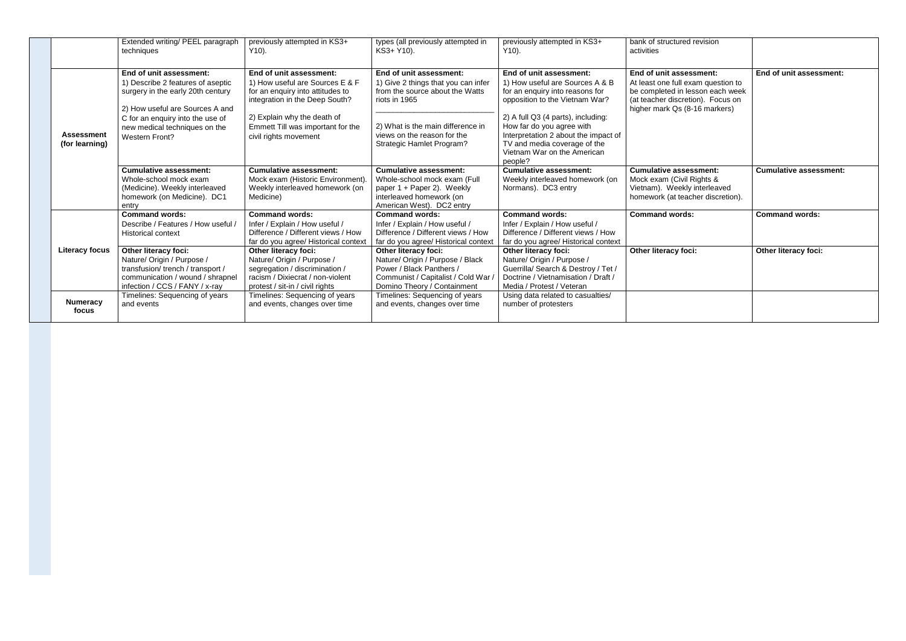|  |                                     | Extended writing/ PEEL paragraph<br>techniques                                                                                                                                                                              | previously attempted in KS3+<br>$Y10$ ).                                                                                                                                                                                      | types (all previously attempted in<br>KS3+ Y10).                                                                                                                                                                           | previously attempted in KS3+<br>$Y10$ ).                                                                                                                                                                                                                                                                             | bank of structured revision<br>activities                                                                                                                               |                               |
|--|-------------------------------------|-----------------------------------------------------------------------------------------------------------------------------------------------------------------------------------------------------------------------------|-------------------------------------------------------------------------------------------------------------------------------------------------------------------------------------------------------------------------------|----------------------------------------------------------------------------------------------------------------------------------------------------------------------------------------------------------------------------|----------------------------------------------------------------------------------------------------------------------------------------------------------------------------------------------------------------------------------------------------------------------------------------------------------------------|-------------------------------------------------------------------------------------------------------------------------------------------------------------------------|-------------------------------|
|  | <b>Assessment</b><br>(for learning) | End of unit assessment:<br>1) Describe 2 features of aseptic<br>surgery in the early 20th century<br>2) How useful are Sources A and<br>C for an enquiry into the use of<br>new medical techniques on the<br>Western Front? | End of unit assessment:<br>1) How useful are Sources E & F<br>for an enquiry into attitudes to<br>integration in the Deep South?<br>2) Explain why the death of<br>Emmett Till was important for the<br>civil rights movement | End of unit assessment:<br>1) Give 2 things that you can infer<br>from the source about the Watts<br>riots in 1965<br>2) What is the main difference in<br>views on the reason for the<br><b>Strategic Hamlet Program?</b> | End of unit assessment:<br>1) How useful are Sources A & B<br>for an enquiry into reasons for<br>opposition to the Vietnam War?<br>2) A full Q3 (4 parts), including:<br>How far do you agree with<br>Interpretation 2 about the impact of<br>TV and media coverage of the<br>Vietnam War on the American<br>people? | End of unit assessment:<br>At least one full exam question to<br>be completed in lesson each week<br>(at teacher discretion). Focus on<br>higher mark Qs (8-16 markers) | End of unit assessment:       |
|  |                                     | <b>Cumulative assessment:</b><br>Whole-school mock exam<br>(Medicine). Weekly interleaved<br>homework (on Medicine). DC1<br>entry                                                                                           | <b>Cumulative assessment:</b><br>Mock exam (Historic Environment)<br>Weekly interleaved homework (on<br>Medicine)                                                                                                             | <b>Cumulative assessment:</b><br>Whole-school mock exam (Full<br>paper 1 + Paper 2). Weekly<br>interleaved homework (on<br>American West). DC2 entry                                                                       | <b>Cumulative assessment:</b><br>Weekly interleaved homework (on<br>Normans). DC3 entry                                                                                                                                                                                                                              | <b>Cumulative assessment:</b><br>Mock exam (Civil Rights &<br>Vietnam). Weekly interleaved<br>homework (at teacher discretion).                                         | <b>Cumulative assessment:</b> |
|  |                                     | <b>Command words:</b><br>Describe / Features / How useful /<br><b>Historical context</b>                                                                                                                                    | <b>Command words:</b><br>Infer / Explain / How useful /<br>Difference / Different views / How<br>far do you agree/ Historical context                                                                                         | <b>Command words:</b><br>Infer / Explain / How useful /<br>Difference / Different views / How<br>far do you agree/ Historical contex                                                                                       | <b>Command words:</b><br>Infer / Explain / How useful /<br>Difference / Different views / How<br>far do you agree/ Historical context                                                                                                                                                                                | <b>Command words:</b>                                                                                                                                                   | <b>Command words:</b>         |
|  | <b>Literacy focus</b>               | Other literacy foci:<br>Nature/ Origin / Purpose /<br>transfusion/trench / transport /<br>communication / wound / shrapnel<br>infection / CCS / FANY / x-ray                                                                | Other literacy foci:<br>Nature/ Origin / Purpose /<br>segregation / discrimination /<br>racism / Dixiecrat / non-violent<br>protest / sit-in / civil rights                                                                   | <b>Other literacy foci:</b><br>Nature/ Origin / Purpose / Black<br>Power / Black Panthers /<br>Communist / Capitalist / Cold War /<br>Domino Theory / Containment                                                          | Other literacy foci:<br>Nature/ Origin / Purpose /<br>Guerrilla/ Search & Destroy / Tet /<br>Doctrine / Vietnamisation / Draft /<br>Media / Protest / Veteran                                                                                                                                                        | Other literacy foci:                                                                                                                                                    | Other literacy foci:          |
|  | <b>Numeracy</b><br>focus            | Timelines: Sequencing of years<br>and events                                                                                                                                                                                | Timelines: Sequencing of years<br>and events, changes over time                                                                                                                                                               | Timelines: Sequencing of years<br>and events, changes over time                                                                                                                                                            | Using data related to casualties/<br>number of protesters                                                                                                                                                                                                                                                            |                                                                                                                                                                         |                               |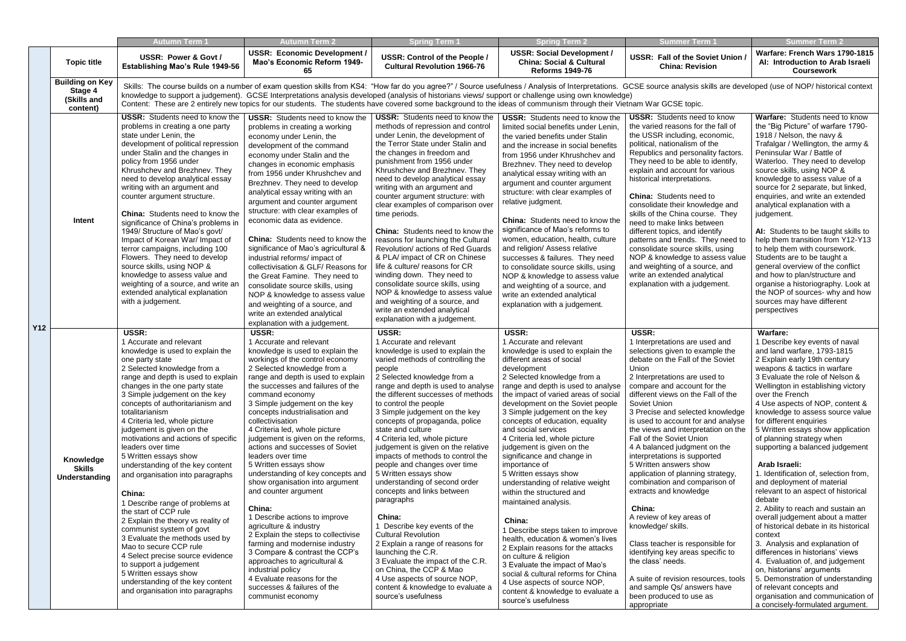|            |                                                              | Autumn Term 1                                                                                                                                                                                                                                                                                                                                                                                                                                                                                                                                                                                                                                                                                                                                                                                                                                                                        | Autumn Term 2                                                                                                                                                                                                                                                                                                                                                                                                                                                                                                                                                                                                                                                                                                                                                                                                                                                                                              | <b>Spring Term 1</b>                                                                                                                                                                                                                                                                                                                                                                                                                                                                                                                                                                                                                                                                                                                                                                                                                                                                            | <b>Spring Term 2</b>                                                                                                                                                                                                                                                                                                                                                                                                                                                                                                                                                                                                                                                                                                                                                                                                                                                                                                      | <b>Summer Term '</b>                                                                                                                                                                                                                                                                                                                                                                                                                                                                                                                                                                                                                                                                                                                                                                                                                                            | Summer Term 2                                                                                                                                                                                                                                                                                                                                                                                                                                                                                                                                                                                                                                                                                                                                                                                                                                                                                                                                                                                        |
|------------|--------------------------------------------------------------|--------------------------------------------------------------------------------------------------------------------------------------------------------------------------------------------------------------------------------------------------------------------------------------------------------------------------------------------------------------------------------------------------------------------------------------------------------------------------------------------------------------------------------------------------------------------------------------------------------------------------------------------------------------------------------------------------------------------------------------------------------------------------------------------------------------------------------------------------------------------------------------|------------------------------------------------------------------------------------------------------------------------------------------------------------------------------------------------------------------------------------------------------------------------------------------------------------------------------------------------------------------------------------------------------------------------------------------------------------------------------------------------------------------------------------------------------------------------------------------------------------------------------------------------------------------------------------------------------------------------------------------------------------------------------------------------------------------------------------------------------------------------------------------------------------|-------------------------------------------------------------------------------------------------------------------------------------------------------------------------------------------------------------------------------------------------------------------------------------------------------------------------------------------------------------------------------------------------------------------------------------------------------------------------------------------------------------------------------------------------------------------------------------------------------------------------------------------------------------------------------------------------------------------------------------------------------------------------------------------------------------------------------------------------------------------------------------------------|---------------------------------------------------------------------------------------------------------------------------------------------------------------------------------------------------------------------------------------------------------------------------------------------------------------------------------------------------------------------------------------------------------------------------------------------------------------------------------------------------------------------------------------------------------------------------------------------------------------------------------------------------------------------------------------------------------------------------------------------------------------------------------------------------------------------------------------------------------------------------------------------------------------------------|-----------------------------------------------------------------------------------------------------------------------------------------------------------------------------------------------------------------------------------------------------------------------------------------------------------------------------------------------------------------------------------------------------------------------------------------------------------------------------------------------------------------------------------------------------------------------------------------------------------------------------------------------------------------------------------------------------------------------------------------------------------------------------------------------------------------------------------------------------------------|------------------------------------------------------------------------------------------------------------------------------------------------------------------------------------------------------------------------------------------------------------------------------------------------------------------------------------------------------------------------------------------------------------------------------------------------------------------------------------------------------------------------------------------------------------------------------------------------------------------------------------------------------------------------------------------------------------------------------------------------------------------------------------------------------------------------------------------------------------------------------------------------------------------------------------------------------------------------------------------------------|
|            | <b>Topic title</b>                                           | USSR: Power & Govt /<br><b>Establishing Mao's Rule 1949-56</b>                                                                                                                                                                                                                                                                                                                                                                                                                                                                                                                                                                                                                                                                                                                                                                                                                       | <b>USSR: Economic Development /</b><br>Mao's Economic Reform 1949-<br>65                                                                                                                                                                                                                                                                                                                                                                                                                                                                                                                                                                                                                                                                                                                                                                                                                                   | <b>USSR: Control of the People /</b><br><b>Cultural Revolution 1966-76</b>                                                                                                                                                                                                                                                                                                                                                                                                                                                                                                                                                                                                                                                                                                                                                                                                                      | <b>USSR: Social Development /</b><br><b>China: Social &amp; Cultural</b><br><b>Reforms 1949-76</b>                                                                                                                                                                                                                                                                                                                                                                                                                                                                                                                                                                                                                                                                                                                                                                                                                        | <b>USSR: Fall of the Soviet Union</b><br><b>China: Revision</b>                                                                                                                                                                                                                                                                                                                                                                                                                                                                                                                                                                                                                                                                                                                                                                                                 | Warfare: French Wars 1790-1815<br>AI: Introduction to Arab Israeli<br><b>Coursework</b>                                                                                                                                                                                                                                                                                                                                                                                                                                                                                                                                                                                                                                                                                                                                                                                                                                                                                                              |
|            | <b>Building on Key</b><br>Stage 4<br>(Skills and<br>content) |                                                                                                                                                                                                                                                                                                                                                                                                                                                                                                                                                                                                                                                                                                                                                                                                                                                                                      |                                                                                                                                                                                                                                                                                                                                                                                                                                                                                                                                                                                                                                                                                                                                                                                                                                                                                                            |                                                                                                                                                                                                                                                                                                                                                                                                                                                                                                                                                                                                                                                                                                                                                                                                                                                                                                 | Skills: The course builds on a number of exam question skills from KS4: "How far do you agree?" / Source usefulness / Analysis of Interpretations. GCSE source analysis skills are developed (use of NOP/ historical context<br>knowledge to support a judgement). GCSE Interpretations analysis developed (analysis of historians views/ support or challenge using own knowledge)<br>Content: These are 2 entirely new topics for our students. The students have covered some background to the ideas of communism through their Vietnam War GCSE topic.                                                                                                                                                                                                                                                                                                                                                               |                                                                                                                                                                                                                                                                                                                                                                                                                                                                                                                                                                                                                                                                                                                                                                                                                                                                 |                                                                                                                                                                                                                                                                                                                                                                                                                                                                                                                                                                                                                                                                                                                                                                                                                                                                                                                                                                                                      |
|            | Intent                                                       | <b>USSR:</b> Students need to know the<br>problems in creating a one party<br>state under Lenin, the<br>development of political repression<br>under Stalin and the changes in<br>policy from 1956 under<br>Khrushchev and Brezhnev. They<br>need to develop analytical essay<br>writing with an argument and<br>counter argument structure.<br>China: Students need to know the<br>significance of China's problems in<br>1949/ Structure of Mao's govt/<br>Impact of Korean War/ Impact of<br>terror campaigns, including 100<br>Flowers. They need to develop<br>source skills, using NOP &<br>knowledge to assess value and<br>weighting of a source, and write an<br>extended analytical explanation<br>with a judgement.                                                                                                                                                       | <b>USSR:</b> Students need to know the<br>problems in creating a working<br>economy under Lenin, the<br>development of the command<br>economy under Stalin and the<br>changes in economic emphasis<br>from 1956 under Khrushchev and<br>Brezhnev. They need to develop<br>analytical essay writing with an<br>argument and counter argument<br>structure: with clear examples of<br>economic data as evidence.<br><b>China:</b> Students need to know the<br>significance of Mao's agricultural &<br>industrial reforms/ impact of<br>collectivisation & GLF/ Reasons for<br>the Great Famine. They need to<br>consolidate source skills, using<br>NOP & knowledge to assess value<br>and weighting of a source, and<br>write an extended analytical<br>explanation with a judgement.                                                                                                                      | <b>USSR:</b> Students need to know the<br>methods of repression and control<br>under Lenin, the development of<br>the Terror State under Stalin and<br>the changes in freedom and<br>punishment from 1956 under<br>Khrushchev and Brezhnev. They<br>need to develop analytical essay<br>writing with an argument and<br>counter argument structure: with<br>clear examples of comparison over<br>time periods.<br><b>China:</b> Students need to know the<br>reasons for launching the Cultural<br>Revolution/ actions of Red Guards<br>& PLA/ impact of CR on Chinese<br>life & culture/ reasons for CR<br>winding down. They need to<br>consolidate source skills, using<br>NOP & knowledge to assess value<br>and weighting of a source, and<br>write an extended analytical<br>explanation with a judgement.                                                                                | <b>USSR:</b> Students need to know the<br>limited social benefits under Lenin,<br>the varied benefits under Stalin<br>and the increase in social benefits<br>from 1956 under Khrushchev and<br>Brezhnev. They need to develop<br>analytical essay writing with an<br>argument and counter argument<br>structure: with clear examples of<br>relative judgment.<br><b>China:</b> Students need to know the<br>significance of Mao's reforms to<br>women, education, health, culture<br>and religion/ Assess relative<br>successes & failures. They need<br>to consolidate source skills, using<br>NOP & knowledge to assess value<br>and weighting of a source, and<br>write an extended analytical<br>explanation with a judgement.                                                                                                                                                                                        | <b>USSR:</b> Students need to know<br>the varied reasons for the fall of<br>the USSR including, economic,<br>political, nationalism of the<br>Republics and personality factors.<br>They need to be able to identify,<br>explain and account for various<br>historical interpretations.<br><b>China:</b> Students need to<br>consolidate their knowledge and<br>skills of the China course. They<br>need to make links between<br>different topics, and identify<br>patterns and trends. They need to<br>consolidate source skills, using<br>NOP & knowledge to assess value<br>and weighting of a source, and<br>write an extended analytical<br>explanation with a judgement.                                                                                                                                                                                 | Warfare: Students need to know<br>the "Big Picture" of warfare 1790-<br>1918 / Nelson, the navy &<br>Trafalgar / Wellington, the army &<br>Peninsular War / Battle of<br>Waterloo. They need to develop<br>source skills, using NOP &<br>knowledge to assess value of a<br>source for 2 separate, but linked,<br>enquiries, and write an extended<br>analytical explanation with a<br>judgement.<br>AI: Students to be taught skills to<br>help them transition from Y12-Y13<br>to help them with coursework.<br>Students are to be taught a<br>general overview of the conflict<br>and how to plan/structure and<br>organise a historiography. Look at<br>the NOP of sources- why and how<br>sources may have different<br>perspectives                                                                                                                                                                                                                                                             |
| <b>Y12</b> | Knowledge<br>Skills<br>Understanding                         | USSR:<br>1 Accurate and relevant<br>knowledge is used to explain the<br>one party state<br>2 Selected knowledge from a<br>range and depth is used to explain<br>changes in the one party state<br>3 Simple judgement on the key<br>concepts of authoritarianism and<br>totalitarianism<br>4 Criteria led, whole picture<br>judgement is given on the<br>motivations and actions of specific<br>leaders over time<br>5 Written essays show<br>understanding of the key content<br>and organisation into paragraphs<br>China:<br>1 Describe range of problems at<br>the start of CCP rule<br>2 Explain the theory vs reality of<br>communist system of govt<br>3 Evaluate the methods used by<br>Mao to secure CCP rule<br>4 Select precise source evidence<br>to support a judgement<br>5 Written essays show<br>understanding of the key content<br>and organisation into paragraphs | USSR:<br>1 Accurate and relevant<br>knowledge is used to explain the<br>workings of the control economy<br>2 Selected knowledge from a<br>range and depth is used to explain<br>the successes and failures of the<br>command economy<br>3 Simple judgement on the key<br>concepts industrialisation and<br>collectivisation<br>4 Criteria led, whole picture<br>judgement is given on the reforms,<br>actions and successes of Soviet<br>leaders over time<br>5 Written essays show<br>understanding of key concepts and<br>show organisation into argument<br>and counter argument<br>China:<br>1 Describe actions to improve<br>agriculture & industry<br>2 Explain the steps to collectivise<br>farming and modernise industry<br>3 Compare & contrast the CCP's<br>approaches to agricultural &<br>industrial policy<br>4 Evaluate reasons for the<br>successes & failures of the<br>communist economy | USSR:<br>1 Accurate and relevant<br>knowledge is used to explain the<br>varied methods of controlling the<br>people<br>2 Selected knowledge from a<br>range and depth is used to analyse<br>the different successes of methods<br>to control the people<br>3 Simple judgement on the key<br>concepts of propaganda, police<br>state and culture<br>4 Criteria led, whole picture<br>judgement is given on the relative<br>impacts of methods to control the<br>people and changes over time<br>5 Written essays show<br>understanding of second order<br>concepts and links between<br>paragraphs<br>China:<br>1 Describe key events of the<br><b>Cultural Revolution</b><br>2 Explain a range of reasons for<br>launching the C.R.<br>3 Evaluate the impact of the C.R.<br>on China, the CCP & Mao<br>4 Use aspects of source NOP,<br>content & knowledge to evaluate a<br>source's usefulness | <b>USSR:</b><br>1 Accurate and relevant<br>knowledge is used to explain the<br>different areas of social<br>development<br>2 Selected knowledge from a<br>range and depth is used to analyse<br>the impact of varied areas of social<br>development on the Soviet people<br>3 Simple judgement on the key<br>concepts of education, equality<br>and social services<br>4 Criteria led, whole picture<br>judgement is given on the<br>significance and change in<br>importance of<br>5 Written essays show<br>understanding of relative weight<br>within the structured and<br>maintained analysis.<br>China:<br>1 Describe steps taken to improve<br>health, education & women's lives<br>2 Explain reasons for the attacks<br>on culture & religion<br>3 Evaluate the impact of Mao's<br>social & cultural reforms for China<br>4 Use aspects of source NOP,<br>content & knowledge to evaluate a<br>source's usefulness | USSR:<br>1 Interpretations are used and<br>selections given to example the<br>debate on the Fall of the Soviet<br>Union<br>2 Interpretations are used to<br>compare and account for the<br>different views on the Fall of the<br>Soviet Union<br>3 Precise and selected knowledge<br>is used to account for and analyse<br>the views and interpretation on the<br>Fall of the Soviet Union<br>4 A balanced judgment on the<br>interpretations is supported<br>5 Written answers show<br>application of planning strategy,<br>combination and comparison of<br>extracts and knowledge<br>China:<br>A review of key areas of<br>knowledge/ skills.<br>Class teacher is responsible for<br>identifying key areas specific to<br>the class' needs.<br>A suite of revision resources, tools<br>and sample Qs/ answers have<br>been produced to use as<br>appropriate | Warfare:<br>1 Describe key events of naval<br>and land warfare, 1793-1815<br>2 Explain early 19th century<br>weapons & tactics in warfare<br>3 Evaluate the role of Nelson &<br>Wellington in establishing victory<br>over the French<br>4 Use aspects of NOP, content &<br>knowledge to assess source value<br>for different enquiries<br>5 Written essays show application<br>of planning strategy when<br>supporting a balanced judgement<br>Arab Israeli:<br>1. Identification of, selection from,<br>and deployment of material<br>relevant to an aspect of historical<br>debate<br>2. Ability to reach and sustain an<br>overall judgement about a matter<br>of historical debate in its historical<br>context<br>3. Analysis and explanation of<br>differences in historians' views<br>4. Evaluation of, and judgement<br>on, historians' arguments<br>5. Demonstration of understanding<br>of relevant concepts and<br>organisation and communication of<br>a concisely-formulated argument. |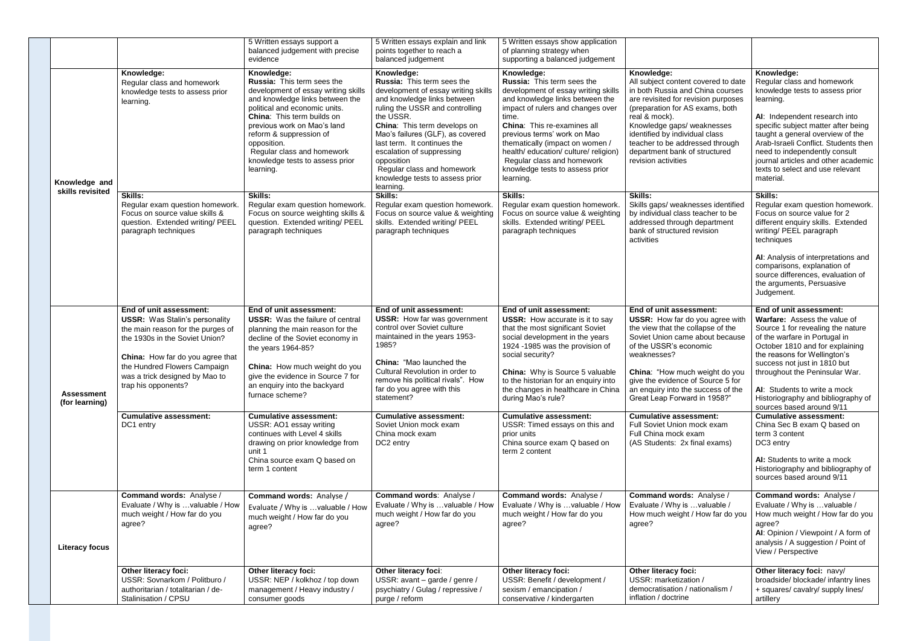|  |                                     |                                                                                                                                                                             | 5 Written essays support a<br>balanced judgement with precise<br>evidence                                                                                                                                                                                                                                                                              | 5 Written essays explain and link<br>points together to reach a<br>balanced judgement                                                                                                                                                                                                                                                                                                      | 5 Written essays show application<br>of planning strategy when<br>supporting a balanced judgement                                                                                                                                                                                                                                                                                        |                                                                                                                                                                                                                                                                                                                                             |                                                                                                                                                                                                                                                                                                                                                                       |
|--|-------------------------------------|-----------------------------------------------------------------------------------------------------------------------------------------------------------------------------|--------------------------------------------------------------------------------------------------------------------------------------------------------------------------------------------------------------------------------------------------------------------------------------------------------------------------------------------------------|--------------------------------------------------------------------------------------------------------------------------------------------------------------------------------------------------------------------------------------------------------------------------------------------------------------------------------------------------------------------------------------------|------------------------------------------------------------------------------------------------------------------------------------------------------------------------------------------------------------------------------------------------------------------------------------------------------------------------------------------------------------------------------------------|---------------------------------------------------------------------------------------------------------------------------------------------------------------------------------------------------------------------------------------------------------------------------------------------------------------------------------------------|-----------------------------------------------------------------------------------------------------------------------------------------------------------------------------------------------------------------------------------------------------------------------------------------------------------------------------------------------------------------------|
|  | Knowledge and<br>skills revisited   | Knowledge:<br>Regular class and homework<br>knowledge tests to assess prior<br>learning.                                                                                    | Knowledge:<br><b>Russia: This term sees the</b><br>development of essay writing skills<br>and knowledge links between the<br>political and economic units.<br><b>China:</b> This term builds on<br>previous work on Mao's land<br>reform & suppression of<br>opposition.<br>Regular class and homework<br>knowledge tests to assess prior<br>learning. | Knowledge:<br>Russia: This term sees the<br>development of essay writing skills<br>and knowledge links between<br>ruling the USSR and controlling<br>the USSR.<br>China: This term develops on<br>Mao's failures (GLF), as covered<br>last term. It continues the<br>escalation of suppressing<br>opposition<br>Regular class and homework<br>knowledge tests to assess prior<br>learning. | Knowledge:<br>Russia: This term sees the<br>development of essay writing skills<br>and knowledge links between the<br>impact of rulers and changes over<br>time.<br>China: This re-examines all<br>previous terms' work on Mao<br>thematically (impact on women /<br>health/ education/ culture/ religion)<br>Regular class and homework<br>knowledge tests to assess prior<br>learning. | Knowledge:<br>All subject content covered to date<br>in both Russia and China courses<br>are revisited for revision purposes<br>(preparation for AS exams, both<br>real & mock).<br>Knowledge gaps/ weaknesses<br>identified by individual class<br>teacher to be addressed through<br>department bank of structured<br>revision activities | Knowledge:<br>Regular class and homework<br>knowledge tests to assess prior<br>learning.<br>AI: Independent research into<br>specific subject matter after being<br>taught a general overview of the<br>Arab-Israeli Conflict. Students then<br>need to independently consult<br>journal articles and other academic<br>texts to select and use relevant<br>material. |
|  |                                     | <b>Skills:</b><br>Regular exam question homework.<br>Focus on source value skills &<br>question. Extended writing/ PEEL<br>paragraph techniques                             | Skills:<br>Regular exam question homework<br>Focus on source weighting skills &<br>question. Extended writing/ PEEL<br>paragraph techniques                                                                                                                                                                                                            | <b>Skills:</b><br>Regular exam question homework.<br>Focus on source value & weighting<br>skills. Extended writing/ PEEL<br>paragraph techniques                                                                                                                                                                                                                                           | <b>Skills:</b><br>Regular exam question homework.<br>Focus on source value & weighting<br>skills. Extended writing/ PEEL<br>paragraph techniques                                                                                                                                                                                                                                         | <b>Skills:</b><br>Skills gaps/ weaknesses identified<br>by individual class teacher to be<br>addressed through department<br>bank of structured revision<br>activities                                                                                                                                                                      | <b>Skills:</b><br>Regular exam question homework.<br>Focus on source value for 2<br>different enquiry skills. Extended<br>writing/ PEEL paragraph<br>techniques                                                                                                                                                                                                       |
|  |                                     |                                                                                                                                                                             |                                                                                                                                                                                                                                                                                                                                                        |                                                                                                                                                                                                                                                                                                                                                                                            |                                                                                                                                                                                                                                                                                                                                                                                          |                                                                                                                                                                                                                                                                                                                                             | AI: Analysis of interpretations and<br>comparisons, explanation of<br>source differences, evaluation of<br>the arguments, Persuasive<br>Judgement.                                                                                                                                                                                                                    |
|  |                                     | End of unit assessment:<br><b>USSR:</b> Was Stalin's personality<br>the main reason for the purges of<br>the 1930s in the Soviet Union?<br>China: How far do you agree that | End of unit assessment:<br><b>USSR:</b> Was the failure of central<br>planning the main reason for the<br>decline of the Soviet economy in<br>the years 1964-85?                                                                                                                                                                                       | End of unit assessment:<br><b>USSR:</b> How far was government<br>control over Soviet culture<br>maintained in the years 1953-<br>1985?<br><b>China: "Mao launched the</b>                                                                                                                                                                                                                 | End of unit assessment:<br><b>USSR:</b> How accurate is it to say<br>that the most significant Soviet<br>social development in the years<br>1924 -1985 was the provision of<br>social security?                                                                                                                                                                                          | End of unit assessment:<br><b>USSR:</b> How far do you agree with<br>the view that the collapse of the<br>Soviet Union came about because<br>of the USSR's economic<br>weaknesses?                                                                                                                                                          | End of unit assessment:<br>Warfare: Assess the value of<br>Source 1 for revealing the nature<br>of the warfare in Portugal in<br>October 1810 and for explaining<br>the reasons for Wellington's<br>success not just in 1810 but                                                                                                                                      |
|  | <b>Assessment</b><br>(for learning) | the Hundred Flowers Campaign<br>was a trick designed by Mao to<br>trap his opponents?                                                                                       | China: How much weight do you<br>give the evidence in Source 7 for<br>an enquiry into the backyard<br>furnace scheme?                                                                                                                                                                                                                                  | Cultural Revolution in order to<br>remove his political rivals". How<br>far do you agree with this<br>statement?                                                                                                                                                                                                                                                                           | <b>China:</b> Why is Source 5 valuable<br>to the historian for an enquiry into<br>the changes in healthcare in China<br>during Mao's rule?                                                                                                                                                                                                                                               | China: "How much weight do you<br>give the evidence of Source 5 for<br>an enquiry into the success of the<br>Great Leap Forward in 1958?"                                                                                                                                                                                                   | throughout the Peninsular War.<br>AI: Students to write a mock<br>Historiography and bibliography of<br>sources based around 9/11                                                                                                                                                                                                                                     |
|  |                                     | <b>Cumulative assessment:</b><br>DC1 entry                                                                                                                                  | <b>Cumulative assessment:</b><br>USSR: AO1 essay writing<br>continues with Level 4 skills<br>drawing on prior knowledge from<br>unit 1<br>China source exam Q based on<br>term 1 content                                                                                                                                                               | <b>Cumulative assessment:</b><br>Soviet Union mock exam<br>China mock exam<br>DC2 entry                                                                                                                                                                                                                                                                                                    | <b>Cumulative assessment:</b><br>USSR: Timed essays on this and<br>prior units<br>China source exam Q based on<br>term 2 content                                                                                                                                                                                                                                                         | <b>Cumulative assessment:</b><br>Full Soviet Union mock exam<br>Full China mock exam<br>(AS Students: 2x final exams)                                                                                                                                                                                                                       | <b>Cumulative assessment:</b><br>China Sec B exam Q based on<br>term 3 content<br>DC3 entry<br>AI: Students to write a mock<br>Historiography and bibliography of                                                                                                                                                                                                     |
|  |                                     |                                                                                                                                                                             |                                                                                                                                                                                                                                                                                                                                                        |                                                                                                                                                                                                                                                                                                                                                                                            |                                                                                                                                                                                                                                                                                                                                                                                          |                                                                                                                                                                                                                                                                                                                                             | sources based around 9/11                                                                                                                                                                                                                                                                                                                                             |
|  | <b>Literacy focus</b>               | Command words: Analyse /<br>Evaluate / Why is valuable / How<br>much weight / How far do you<br>agree?                                                                      | Command words: Analyse /<br>Evaluate / Why is  valuable / How<br>much weight / How far do you<br>agree?                                                                                                                                                                                                                                                | <b>Command words: Analyse /</b><br>Evaluate / Why is valuable / How<br>much weight / How far do you<br>agree?                                                                                                                                                                                                                                                                              | Command words: Analyse /<br>Evaluate / Why is valuable / How<br>much weight / How far do you<br>agree?                                                                                                                                                                                                                                                                                   | <b>Command words: Analyse /</b><br>Evaluate / Why is  valuable /<br>How much weight / How far do you<br>agree?                                                                                                                                                                                                                              | Command words: Analyse /<br>Evaluate / Why is  valuable /<br>How much weight / How far do you<br>agree?<br>AI: Opinion / Viewpoint / A form of<br>analysis / A suggestion / Point of<br>View / Perspective                                                                                                                                                            |
|  |                                     | <b>Other literacy foci:</b><br>USSR: Sovnarkom / Politburo /<br>authoritarian / totalitarian / de-<br>Stalinisation / CPSU                                                  | Other literacy foci:<br>USSR: NEP / kolkhoz / top down<br>management / Heavy industry /<br>consumer goods                                                                                                                                                                                                                                              | Other literacy foci:<br>USSR: avant - garde / genre /<br>psychiatry / Gulag / repressive /<br>purge / reform                                                                                                                                                                                                                                                                               | Other literacy foci:<br>USSR: Benefit / development /<br>sexism / emancipation /<br>conservative / kindergarten                                                                                                                                                                                                                                                                          | <b>Other literacy foci:</b><br>USSR: marketization /<br>democratisation / nationalism /<br>inflation / doctrine                                                                                                                                                                                                                             | Other literacy foci: navy/<br>broadside/ blockade/ infantry lines<br>+ squares/ cavalry/ supply lines/<br>artillery                                                                                                                                                                                                                                                   |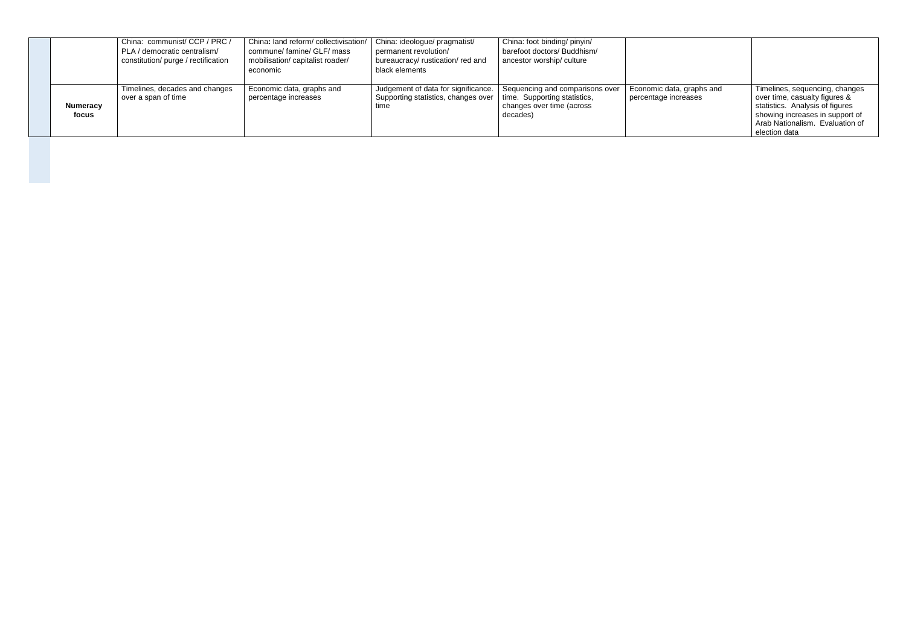|                   | China: communist/ CCP / PRC /<br>PLA / democratic centralism/<br>constitution/ purge / rectification | China: land reform/collectivisation/<br>commune/famine/GLF/mass<br>mobilisation/ capitalist roader/<br>economic | China: ideologue/ pragmatist/<br>permanent revolution/<br>bureaucracy/ rustication/ red and<br>black elements | China: foot binding/ pinyin/<br>barefoot doctors/ Buddhism/<br>ancestor worship/culture                  |                                                   |                                                                                                                                                                                           |
|-------------------|------------------------------------------------------------------------------------------------------|-----------------------------------------------------------------------------------------------------------------|---------------------------------------------------------------------------------------------------------------|----------------------------------------------------------------------------------------------------------|---------------------------------------------------|-------------------------------------------------------------------------------------------------------------------------------------------------------------------------------------------|
| Numeracy<br>focus | Timelines, decades and changes<br>over a span of time                                                | Economic data, graphs and<br>percentage increases                                                               | Judgement of data for significance.<br>Supporting statistics, changes over<br>time                            | Sequencing and comparisons over<br>time. Supporting statistics,<br>changes over time (across<br>decades) | Economic data, graphs and<br>percentage increases | Timelines, sequencing, changes<br>over time, casualty figures &<br>statistics. Analysis of figures<br>showing increases in support of<br>Arab Nationalism. Evaluation of<br>election data |
|                   |                                                                                                      |                                                                                                                 |                                                                                                               |                                                                                                          |                                                   |                                                                                                                                                                                           |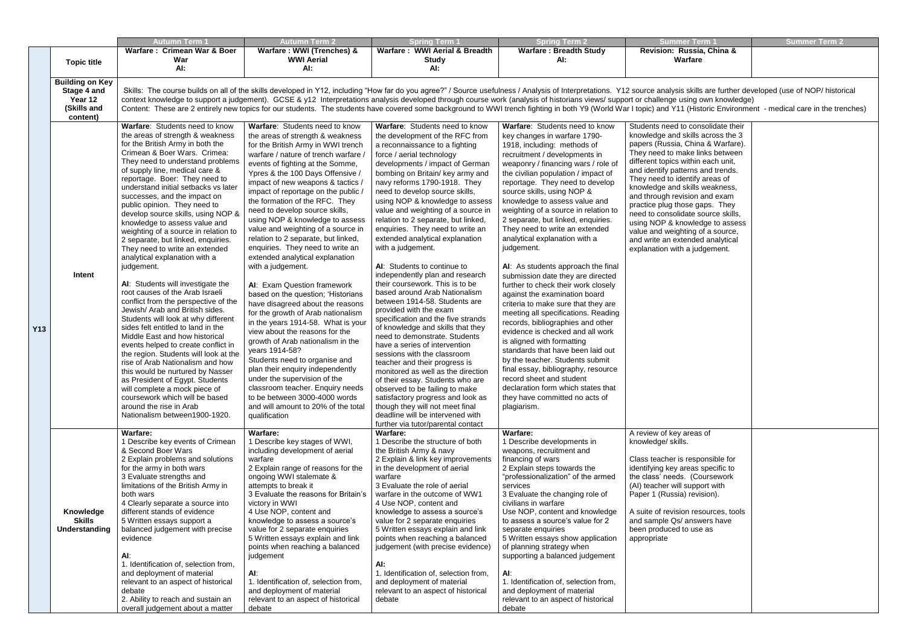| <b>Summer Term 1</b>                 | <b>Summer Term 2</b> |
|--------------------------------------|----------------------|
| Revision: Russia, China &<br>Warfare |                      |

| skills are further developed (use of NOP/ historical |
|------------------------------------------------------|
| sing own knowledge)                                  |
| (Historic Environment - medical care in the trenches |

|            | <b>Topic title</b>                                                          | <b>Autumn Term '</b><br>Warfare: Crimean War & Boer<br>War<br>AI:                                                                                                                                                                                                                                                                                                                                                                                                                                                                                                                                                                                                                                                                                                                                                                                                                                                                                                                                                                                                                                                                                                                       | <b>Autumn Term 2</b><br>Warfare: WWI (Trenches) &<br><b>WWI Aerial</b><br>AI:                                                                                                                                                                                                                                                                                                                                                                                                                                                                                                                                                                                                                                                                                                                                                                                                                                                                                                                                                                                                                      | <b>Spring Term 1</b><br>Warfare: WWI Aerial & Breadth<br><b>Study</b><br>Al:                                                                                                                                                                                                                                                                                                                                                                                                                                                                                                                                                                                                                                                                                                                                                                                                                                                                                                                                                                                                                                                                                     | <b>Spring Term 2</b><br><b>Warfare: Breadth Study</b><br>AI:                                                                                                                                                                                                                                                                                                                                                                                                                                                                                                                                                                                                                                                                                                                                                                                                                                                                                                                                                                                            | <b>Summer Term 1</b><br>Revision: Russia, China &<br>Warfare                                                                                                                                                                                                                                                                                                                                                                                                                                                                                        | <b>Summer Term 2</b> |
|------------|-----------------------------------------------------------------------------|-----------------------------------------------------------------------------------------------------------------------------------------------------------------------------------------------------------------------------------------------------------------------------------------------------------------------------------------------------------------------------------------------------------------------------------------------------------------------------------------------------------------------------------------------------------------------------------------------------------------------------------------------------------------------------------------------------------------------------------------------------------------------------------------------------------------------------------------------------------------------------------------------------------------------------------------------------------------------------------------------------------------------------------------------------------------------------------------------------------------------------------------------------------------------------------------|----------------------------------------------------------------------------------------------------------------------------------------------------------------------------------------------------------------------------------------------------------------------------------------------------------------------------------------------------------------------------------------------------------------------------------------------------------------------------------------------------------------------------------------------------------------------------------------------------------------------------------------------------------------------------------------------------------------------------------------------------------------------------------------------------------------------------------------------------------------------------------------------------------------------------------------------------------------------------------------------------------------------------------------------------------------------------------------------------|------------------------------------------------------------------------------------------------------------------------------------------------------------------------------------------------------------------------------------------------------------------------------------------------------------------------------------------------------------------------------------------------------------------------------------------------------------------------------------------------------------------------------------------------------------------------------------------------------------------------------------------------------------------------------------------------------------------------------------------------------------------------------------------------------------------------------------------------------------------------------------------------------------------------------------------------------------------------------------------------------------------------------------------------------------------------------------------------------------------------------------------------------------------|---------------------------------------------------------------------------------------------------------------------------------------------------------------------------------------------------------------------------------------------------------------------------------------------------------------------------------------------------------------------------------------------------------------------------------------------------------------------------------------------------------------------------------------------------------------------------------------------------------------------------------------------------------------------------------------------------------------------------------------------------------------------------------------------------------------------------------------------------------------------------------------------------------------------------------------------------------------------------------------------------------------------------------------------------------|-----------------------------------------------------------------------------------------------------------------------------------------------------------------------------------------------------------------------------------------------------------------------------------------------------------------------------------------------------------------------------------------------------------------------------------------------------------------------------------------------------------------------------------------------------|----------------------|
|            | <b>Building on Key</b><br>Stage 4 and<br>Year 12<br>(Skills and<br>content) |                                                                                                                                                                                                                                                                                                                                                                                                                                                                                                                                                                                                                                                                                                                                                                                                                                                                                                                                                                                                                                                                                                                                                                                         |                                                                                                                                                                                                                                                                                                                                                                                                                                                                                                                                                                                                                                                                                                                                                                                                                                                                                                                                                                                                                                                                                                    |                                                                                                                                                                                                                                                                                                                                                                                                                                                                                                                                                                                                                                                                                                                                                                                                                                                                                                                                                                                                                                                                                                                                                                  | Skills: The course builds on all of the skills developed in Y12, including "How far do you agree?" / Source usefulness / Analysis of Interpretations. Y12 source analysis skills are further developed (use of NOP/ historical<br>context knowledge to support a judgement). GCSE & y12 Interpretations analysis developed through course work (analysis of historians views/ support or challenge using own knowledge)<br>Content: These are 2 entirely new topics for our students. The students have covered some background to WWI trench fighting in both Y9 (World War I topic) and Y11 (Historic Environment - medical care in the trenches)                                                                                                                                                                                                                                                                                                                                                                                                     |                                                                                                                                                                                                                                                                                                                                                                                                                                                                                                                                                     |                      |
| <b>Y13</b> | Intent                                                                      | Warfare: Students need to know<br>the areas of strength & weakness<br>for the British Army in both the<br>Crimean & Boer Wars. Crimea:<br>They need to understand problems<br>of supply line, medical care &<br>reportage. Boer: They need to<br>understand initial setbacks vs later<br>successes, and the impact on<br>public opinion. They need to<br>develop source skills, using NOP &<br>knowledge to assess value and<br>weighting of a source in relation to<br>2 separate, but linked, enquiries.<br>They need to write an extended<br>analytical explanation with a<br>judgement.<br>AI: Students will investigate the<br>root causes of the Arab Israeli<br>conflict from the perspective of the<br>Jewish/ Arab and British sides.<br>Students will look at why different<br>sides felt entitled to land in the<br>Middle East and how historical<br>events helped to create conflict in<br>the region. Students will look at the<br>rise of Arab Nationalism and how<br>this would be nurtured by Nasser<br>as President of Egypt. Students<br>will complete a mock piece of<br>coursework which will be based<br>around the rise in Arab<br>Nationalism between1900-1920. | Warfare: Students need to know<br>the areas of strength & weakness<br>for the British Army in WWI trench<br>warfare / nature of trench warfare<br>events of fighting at the Somme,<br>Ypres & the 100 Days Offensive /<br>impact of new weapons & tactics /<br>impact of reportage on the public /<br>the formation of the RFC. They<br>need to develop source skills,<br>using NOP & knowledge to assess<br>value and weighting of a source in<br>relation to 2 separate, but linked,<br>enquiries. They need to write an<br>extended analytical explanation<br>with a judgement.<br>AI: Exam Question framework<br>based on the question; 'Historians<br>have disagreed about the reasons<br>for the growth of Arab nationalism<br>in the years 1914-58. What is your<br>view about the reasons for the<br>growth of Arab nationalism in the<br>years 1914-58?<br>Students need to organise and<br>plan their enquiry independently<br>under the supervision of the<br>classroom teacher. Enquiry needs<br>to be between 3000-4000 words<br>and will amount to 20% of the total<br>qualification | Warfare: Students need to know<br>the development of the RFC from<br>a reconnaissance to a fighting<br>force / aerial technology<br>developments / impact of German<br>bombing on Britain/key army and<br>navy reforms 1790-1918. They<br>need to develop source skills,<br>using NOP & knowledge to assess<br>value and weighting of a source in<br>relation to 2 separate, but linked,<br>enquiries. They need to write an<br>extended analytical explanation<br>with a judgement.<br>AI: Students to continue to<br>independently plan and research<br>their coursework. This is to be<br>based around Arab Nationalism<br>between 1914-58. Students are<br>provided with the exam<br>specification and the five strands<br>of knowledge and skills that they<br>need to demonstrate. Students<br>have a series of intervention<br>sessions with the classroom<br>teacher and their progress is<br>monitored as well as the direction<br>of their essay. Students who are<br>observed to be failing to make<br>satisfactory progress and look as<br>though they will not meet final<br>deadline will be intervened with<br>further via tutor/parental contact | Warfare: Students need to know<br>key changes in warfare 1790-<br>1918, including: methods of<br>recruitment / developments in<br>weaponry / financing wars / role of<br>the civilian population / impact of<br>reportage. They need to develop<br>source skills, using NOP &<br>knowledge to assess value and<br>weighting of a source in relation to<br>2 separate, but linked, enquiries.<br>They need to write an extended<br>analytical explanation with a<br>judgement.<br>AI: As students approach the final<br>submission date they are directed<br>further to check their work closely<br>against the examination board<br>criteria to make sure that they are<br>meeting all specifications. Reading<br>records, bibliographies and other<br>evidence is checked and all work<br>is aligned with formatting<br>standards that have been laid out<br>by the teacher. Students submit<br>final essay, bibliography, resource<br>record sheet and student<br>declaration form which states that<br>they have committed no acts of<br>plagiarism. | Students need to consolidate their<br>knowledge and skills across the 3<br>papers (Russia, China & Warfare).<br>They need to make links between<br>different topics within each unit,<br>and identify patterns and trends.<br>They need to identify areas of<br>knowledge and skills weakness,<br>and through revision and exam<br>practice plug those gaps. They<br>need to consolidate source skills,<br>using NOP & knowledge to assess<br>value and weighting of a source,<br>and write an extended analytical<br>explanation with a judgement. |                      |
|            | Knowledge<br><b>Skills</b><br>Understanding                                 | Warfare:<br>1 Describe key events of Crimean<br>& Second Boer Wars<br>2 Explain problems and solutions<br>for the army in both wars<br>3 Evaluate strengths and<br>limitations of the British Army in<br>both wars<br>4 Clearly separate a source into<br>different stands of evidence<br>5 Written essays support a<br>balanced judgement with precise<br>evidence<br>AI:<br>1. Identification of, selection from,<br>and deployment of material<br>relevant to an aspect of historical<br>debate<br>2. Ability to reach and sustain an<br>overall judgement about a matter                                                                                                                                                                                                                                                                                                                                                                                                                                                                                                                                                                                                            | Warfare:<br>1 Describe key stages of WWI,<br>including development of aerial<br>warfare<br>2 Explain range of reasons for the<br>ongoing WWI stalemate &<br>attempts to break it<br>3 Evaluate the reasons for Britain's<br>victory in WWI<br>4 Use NOP, content and<br>knowledge to assess a source's<br>value for 2 separate enquiries<br>5 Written essays explain and link<br>points when reaching a balanced<br>judgement<br>AI:<br>1. Identification of, selection from,<br>and deployment of material<br>relevant to an aspect of historical<br>debate                                                                                                                                                                                                                                                                                                                                                                                                                                                                                                                                       | <b>Warfare:</b><br>1 Describe the structure of both<br>the British Army & navy<br>2 Explain & link key improvements<br>in the development of aerial<br>warfare<br>3 Evaluate the role of aerial<br>warfare in the outcome of WW1<br>4 Use NOP, content and<br>knowledge to assess a source's<br>value for 2 separate enquiries<br>5 Written essays explain and link<br>points when reaching a balanced<br>judgement (with precise evidence)<br>AI:<br>1. Identification of, selection from,<br>and deployment of material<br>relevant to an aspect of historical<br>debate                                                                                                                                                                                                                                                                                                                                                                                                                                                                                                                                                                                       | Warfare:<br>1 Describe developments in<br>weapons, recruitment and<br>financing of wars<br>2 Explain steps towards the<br>"professionalization" of the armed<br>services<br>3 Evaluate the changing role of<br>civilians in warfare<br>Use NOP, content and knowledge<br>to assess a source's value for 2<br>separate enquiries<br>5 Written essays show application<br>of planning strategy when<br>supporting a balanced judgement<br>Al:<br>1. Identification of, selection from,<br>and deployment of material<br>relevant to an aspect of historical<br>debate                                                                                                                                                                                                                                                                                                                                                                                                                                                                                     | A review of key areas of<br>knowledge/ skills.<br>Class teacher is responsible for<br>identifying key areas specific to<br>the class' needs. (Coursework<br>(AI) teacher will support with<br>Paper 1 (Russia) revision).<br>A suite of revision resources, tools<br>and sample Qs/ answers have<br>been produced to use as<br>appropriate                                                                                                                                                                                                          |                      |

| Students need to consolidate their<br>knowledge and skills across the 3<br>papers (Russia, China & Warfare).<br>They need to make links between<br>different topics within each unit,<br>and identify patterns and trends.<br>They need to identify areas of<br>knowledge and skills weakness,<br>and through revision and exam<br>practice plug those gaps. They<br>need to consolidate source skills,<br>using NOP & knowledge to assess<br>value and weighting of a source,<br>and write an extended analytical<br>explanation with a judgement. |  |
|-----------------------------------------------------------------------------------------------------------------------------------------------------------------------------------------------------------------------------------------------------------------------------------------------------------------------------------------------------------------------------------------------------------------------------------------------------------------------------------------------------------------------------------------------------|--|
| A review of key areas of<br>knowledge/ skills.                                                                                                                                                                                                                                                                                                                                                                                                                                                                                                      |  |
| Class teacher is responsible for<br>identifying key areas specific to<br>the class' needs. (Coursework<br>(AI) teacher will support with<br>Paper 1 (Russia) revision).                                                                                                                                                                                                                                                                                                                                                                             |  |
| A suite of revision resources, tools<br>and sample Qs/ answers have<br>been produced to use as<br>appropriate                                                                                                                                                                                                                                                                                                                                                                                                                                       |  |
|                                                                                                                                                                                                                                                                                                                                                                                                                                                                                                                                                     |  |
|                                                                                                                                                                                                                                                                                                                                                                                                                                                                                                                                                     |  |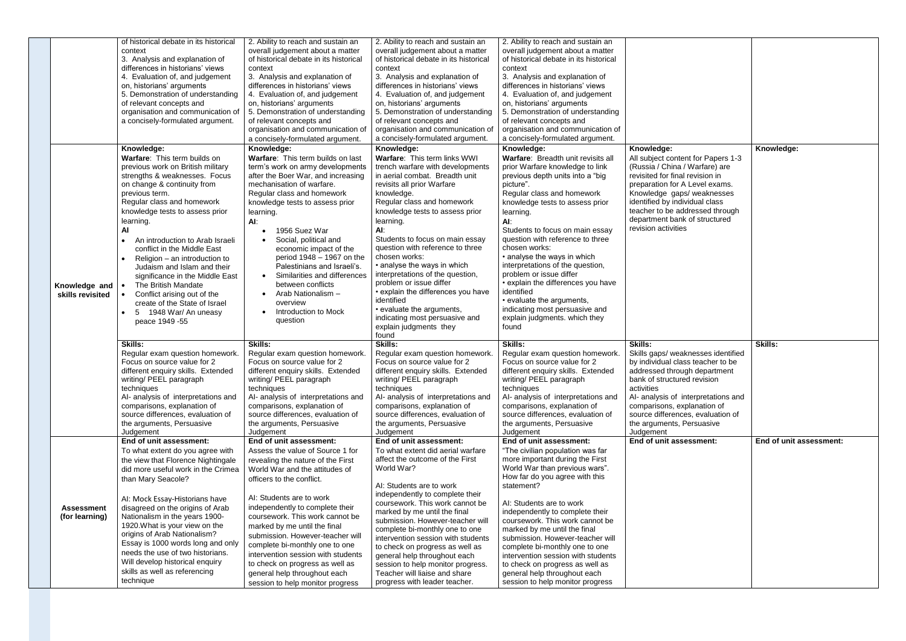|                   | of historical debate in its historical     | 2. Ability to reach and sustain an                               | 2. Ability to reach and sustain an                             | 2. Ability to reach and sustain an                               |                                     |                         |
|-------------------|--------------------------------------------|------------------------------------------------------------------|----------------------------------------------------------------|------------------------------------------------------------------|-------------------------------------|-------------------------|
|                   | context                                    | overall judgement about a matter                                 | overall judgement about a matter                               | overall judgement about a matter                                 |                                     |                         |
|                   | 3. Analysis and explanation of             | of historical debate in its historical                           | of historical debate in its historical                         | of historical debate in its historical                           |                                     |                         |
|                   | differences in historians' views           | context                                                          | context                                                        | context                                                          |                                     |                         |
|                   | 4. Evaluation of, and judgement            | 3. Analysis and explanation of                                   | 3. Analysis and explanation of                                 | 3. Analysis and explanation of                                   |                                     |                         |
|                   | on, historians' arguments                  | differences in historians' views                                 | differences in historians' views                               | differences in historians' views                                 |                                     |                         |
|                   | 5. Demonstration of understanding          |                                                                  |                                                                |                                                                  |                                     |                         |
|                   |                                            | 4. Evaluation of, and judgement                                  | 4. Evaluation of, and judgement                                | 4. Evaluation of, and judgement                                  |                                     |                         |
|                   | of relevant concepts and                   | on, historians' arguments                                        | on, historians' arguments                                      | on, historians' arguments                                        |                                     |                         |
|                   | organisation and communication of          | 5. Demonstration of understanding                                | 5. Demonstration of understanding                              | 5. Demonstration of understanding                                |                                     |                         |
|                   | a concisely-formulated argument.           | of relevant concepts and                                         | of relevant concepts and                                       | of relevant concepts and                                         |                                     |                         |
|                   |                                            | organisation and communication of                                | organisation and communication of                              | organisation and communication of                                |                                     |                         |
|                   |                                            | a concisely-formulated argument.                                 | a concisely-formulated argument.                               | a concisely-formulated argument.                                 |                                     |                         |
|                   | Knowledge:                                 | Knowledge:                                                       | Knowledge:                                                     | Knowledge:                                                       | Knowledge:                          | Knowledge:              |
|                   | Warfare: This term builds on               | Warfare: This term builds on last                                | Warfare: This term links WWI                                   | Warfare: Breadth unit revisits all                               | All subject content for Papers 1-3  |                         |
|                   | previous work on British military          | term's work on army developments                                 | trench warfare with developments                               | prior Warfare knowledge to link                                  | (Russia / China / Warfare) are      |                         |
|                   | strengths & weaknesses. Focus              | after the Boer War, and increasing                               | in aerial combat. Breadth unit                                 | previous depth units into a "big                                 | revisited for final revision in     |                         |
|                   | on change & continuity from                | mechanisation of warfare.                                        | revisits all prior Warfare                                     | picture".                                                        | preparation for A Level exams.      |                         |
|                   | previous term.                             | Regular class and homework                                       | knowledge.                                                     | Regular class and homework                                       | Knowledge gaps/ weaknesses          |                         |
|                   | Regular class and homework                 | knowledge tests to assess prior                                  | Regular class and homework                                     | knowledge tests to assess prior                                  | identified by individual class      |                         |
|                   | knowledge tests to assess prior            | learning.                                                        | knowledge tests to assess prior                                | learning.                                                        | teacher to be addressed through     |                         |
|                   |                                            |                                                                  | learning.                                                      |                                                                  | department bank of structured       |                         |
|                   | learning.                                  | Al:                                                              |                                                                | AI:                                                              | revision activities                 |                         |
|                   | Al                                         | 1956 Suez War                                                    | AI:                                                            | Students to focus on main essay                                  |                                     |                         |
|                   | An introduction to Arab Israeli            | Social, political and                                            | Students to focus on main essay                                | question with reference to three                                 |                                     |                         |
|                   | conflict in the Middle East                | economic impact of the                                           | question with reference to three                               | chosen works:                                                    |                                     |                         |
|                   | Religion - an introduction to              | period 1948 - 1967 on the                                        | chosen works:                                                  | • analyse the ways in which                                      |                                     |                         |
|                   | Judaism and Islam and their                | Palestinians and Israeli's.                                      | • analyse the ways in which                                    | interpretations of the question,                                 |                                     |                         |
|                   | significance in the Middle East            | Similarities and differences<br>$\bullet$                        | interpretations of the question,                               | problem or issue differ                                          |                                     |                         |
| Knowledge and     | The British Mandate                        | between conflicts                                                | problem or issue differ                                        | • explain the differences you have                               |                                     |                         |
| skills revisited  | Conflict arising out of the                | Arab Nationalism -<br>$\bullet$                                  | • explain the differences you have                             | identified                                                       |                                     |                         |
|                   | create of the State of Israel              | overview                                                         | identified                                                     | • evaluate the arguments,                                        |                                     |                         |
|                   | 5 1948 War/ An uneasy                      | Introduction to Mock                                             | • evaluate the arguments,                                      | indicating most persuasive and                                   |                                     |                         |
|                   | peace 1949 - 55                            | question                                                         | indicating most persuasive and                                 | explain judgments. which they                                    |                                     |                         |
|                   |                                            |                                                                  | explain judgments they                                         | found                                                            |                                     |                         |
|                   |                                            |                                                                  | found                                                          |                                                                  |                                     |                         |
|                   | <b>Skills:</b>                             | <b>Skills:</b>                                                   | Skills:                                                        | <b>Skills:</b>                                                   | <b>Skills:</b>                      | <b>Skills:</b>          |
|                   | Regular exam question homework.            | Regular exam question homework.                                  | Regular exam question homework.                                | Regular exam question homework.                                  | Skills gaps/ weaknesses identified  |                         |
|                   | Focus on source value for 2                | Focus on source value for 2                                      | Focus on source value for 2                                    | Focus on source value for 2                                      | by individual class teacher to be   |                         |
|                   | different enquiry skills. Extended         | different enquiry skills. Extended                               | different enquiry skills. Extended                             | different enquiry skills. Extended                               | addressed through department        |                         |
|                   | writing/ PEEL paragraph                    | writing/ PEEL paragraph                                          | writing/ PEEL paragraph                                        | writing/ PEEL paragraph                                          | bank of structured revision         |                         |
|                   | techniques                                 | techniques                                                       | techniques                                                     | techniques                                                       | activities                          |                         |
|                   | Al- analysis of interpretations and        | Al- analysis of interpretations and                              | Al- analysis of interpretations and                            | Al- analysis of interpretations and                              | Al- analysis of interpretations and |                         |
|                   | comparisons, explanation of                | comparisons, explanation of                                      |                                                                |                                                                  |                                     |                         |
|                   |                                            |                                                                  | comparisons, explanation of                                    | comparisons, explanation of                                      | comparisons, explanation of         |                         |
|                   | source differences, evaluation of          | source differences, evaluation of                                | source differences, evaluation of                              | source differences, evaluation of                                | source differences, evaluation of   |                         |
|                   | the arguments, Persuasive                  | the arguments, Persuasive                                        | the arguments, Persuasive                                      | the arguments, Persuasive                                        | the arguments, Persuasive           |                         |
|                   | Judgement                                  | Judgement                                                        | Judgement                                                      | Judgement                                                        | Judgement                           |                         |
|                   | End of unit assessment:                    | End of unit assessment:                                          | End of unit assessment:                                        | End of unit assessment:                                          | End of unit assessment:             | End of unit assessment: |
|                   | To what extent do you agree with           | Assess the value of Source 1 for                                 | To what extent did aerial warfare                              | "The civilian population was far                                 |                                     |                         |
|                   |                                            |                                                                  | affect the outcome of the First                                |                                                                  |                                     |                         |
|                   | the view that Florence Nightingale         | revealing the nature of the First                                |                                                                | more important during the First                                  |                                     |                         |
|                   | did more useful work in the Crimea         | World War and the attitudes of                                   | World War?                                                     | World War than previous wars".                                   |                                     |                         |
|                   | than Mary Seacole?                         | officers to the conflict.                                        |                                                                | How far do you agree with this                                   |                                     |                         |
|                   |                                            |                                                                  | AI: Students are to work                                       | statement?                                                       |                                     |                         |
|                   | AI: Mock Essay-Historians have             | AI: Students are to work                                         | independently to complete their                                |                                                                  |                                     |                         |
| <b>Assessment</b> | disagreed on the origins of Arab           | independently to complete their                                  | coursework. This work cannot be                                | AI: Students are to work                                         |                                     |                         |
| (for learning)    | Nationalism in the years 1900-             | coursework. This work cannot be                                  | marked by me until the final                                   | independently to complete their                                  |                                     |                         |
|                   | 1920. What is your view on the             | marked by me until the final                                     | submission. However-teacher will                               | coursework. This work cannot be                                  |                                     |                         |
|                   | origins of Arab Nationalism?               | submission. However-teacher will                                 | complete bi-monthly one to one                                 | marked by me until the final                                     |                                     |                         |
|                   | Essay is 1000 words long and only          |                                                                  | intervention session with students                             | submission. However-teacher will                                 |                                     |                         |
|                   | needs the use of two historians.           | complete bi-monthly one to one                                   | to check on progress as well as                                | complete bi-monthly one to one                                   |                                     |                         |
|                   |                                            | intervention session with students                               | general help throughout each                                   | intervention session with students                               |                                     |                         |
|                   | Will develop historical enquiry            | to check on progress as well as                                  | session to help monitor progress.                              | to check on progress as well as                                  |                                     |                         |
|                   | skills as well as referencing<br>technique | general help throughout each<br>session to help monitor progress | Teacher will liaise and share<br>progress with leader teacher. | general help throughout each<br>session to help monitor progress |                                     |                         |